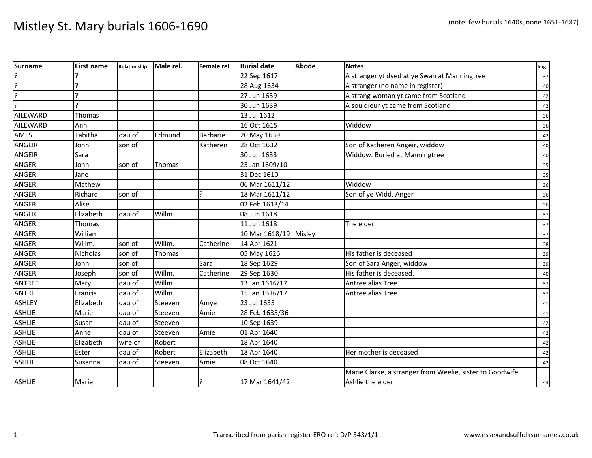| <b>Surname</b>  | <b>First name</b> | Relationship | Male rel. | Female rel. | <b>Burial date</b>    | Abode | <b>Notes</b>                                             | Img |
|-----------------|-------------------|--------------|-----------|-------------|-----------------------|-------|----------------------------------------------------------|-----|
|                 |                   |              |           |             | 22 Sep 1617           |       | A stranger yt dyed at ye Swan at Manningtree             | 37  |
| ?               |                   |              |           |             | 28 Aug 1634           |       | A stranger (no name in register)                         | 40  |
| 7               |                   |              |           |             | 27 Jun 1639           |       | A strang woman yt came from Scotland                     | 42  |
| 7               |                   |              |           |             | 30 Jun 1639           |       | A souldieur yt came from Scotland                        | 42  |
| <b>AILEWARD</b> | Thomas            |              |           |             | 13 Jul 1612           |       |                                                          | 36  |
| <b>AILEWARD</b> | Ann               |              |           |             | 16 Oct 1615           |       | Widdow                                                   | 36  |
| AMES            | Tabitha           | dau of       | Edmund    | Barbarie    | 20 May 1639           |       |                                                          | 42  |
| <b>ANGEIR</b>   | John              | son of       |           | Katheren    | 28 Oct 1632           |       | Son of Katheren Angeir, widdow                           | 40  |
| <b>ANGEIR</b>   | Sara              |              |           |             | 30 Jun 1633           |       | Widdow. Buried at Manningtree                            | 40  |
| <b>ANGER</b>    | John              | son of       | Thomas    |             | 25 Jan 1609/10        |       |                                                          | 35  |
| <b>ANGER</b>    | Jane              |              |           |             | 31 Dec 1610           |       |                                                          | 35  |
| ANGER           | Mathew            |              |           |             | 06 Mar 1611/12        |       | Widdow                                                   | 36  |
| <b>ANGER</b>    | Richard           | son of       |           | 12          | 18 Mar 1611/12        |       | Son of ye Widd. Anger                                    | 36  |
| <b>ANGER</b>    | Alise             |              |           |             | 02 Feb 1613/14        |       |                                                          | 36  |
| <b>ANGER</b>    | Elizabeth         | dau of       | Willm.    |             | 08 Jun 1618           |       |                                                          | 37  |
| <b>ANGER</b>    | Thomas            |              |           |             | 11 Jun 1618           |       | The elder                                                | 37  |
| ANGER           | William           |              |           |             | 10 Mar 1618/19 Misley |       |                                                          | 37  |
| <b>ANGER</b>    | Willm.            | son of       | Willm.    | Catherine   | 14 Apr 1621           |       |                                                          | 38  |
| ANGER           | Nicholas          | son of       | Thomas    |             | 05 May 1626           |       | His father is deceased                                   | 39  |
| ANGER           | John              | son of       |           | Sara        | 18 Sep 1629           |       | Son of Sara Anger, widdow                                | 39  |
| <b>ANGER</b>    | Joseph            | son of       | Willm.    | Catherine   | 29 Sep 1630           |       | His father is deceased.                                  | 40  |
| <b>ANTREE</b>   | Mary              | dau of       | Willm.    |             | 13 Jan 1616/17        |       | Antree alias Tree                                        | 37  |
| <b>ANTREE</b>   | Francis           | dau of       | Willm.    |             | 15 Jan 1616/17        |       | Antree alias Tree                                        | 37  |
| <b>ASHLEY</b>   | Elizabeth         | dau of       | Steeven   | Amye        | 23 Jul 1635           |       |                                                          | 41  |
| <b>ASHLIE</b>   | Marie             | dau of       | Steeven   | Amie        | 28 Feb 1635/36        |       |                                                          | 41  |
| <b>ASHLIE</b>   | Susan             | dau of       | Steeven   |             | 10 Sep 1639           |       |                                                          | 42  |
| <b>ASHLIE</b>   | Anne              | dau of       | Steeven   | Amie        | 01 Apr 1640           |       |                                                          | 42  |
| <b>ASHLIE</b>   | Elizabeth         | wife of      | Robert    |             | 18 Apr 1640           |       |                                                          | 42  |
| <b>ASHLIE</b>   | Ester             | dau of       | Robert    | Elizabeth   | 18 Apr 1640           |       | Her mother is deceased                                   | 42  |
| <b>ASHLIE</b>   | Susanna           | dau of       | Steeven   | Amie        | 08 Oct 1640           |       |                                                          | 42  |
|                 |                   |              |           |             |                       |       | Marie Clarke, a stranger from Weelie, sister to Goodwife |     |
| <b>ASHLIE</b>   | Marie             |              |           |             | 17 Mar 1641/42        |       | Ashlie the elder                                         | 43  |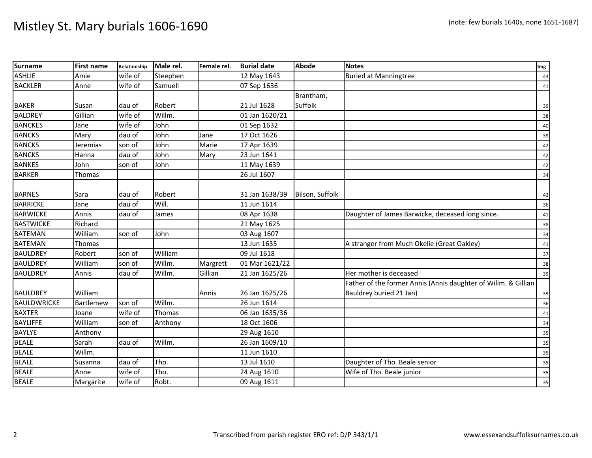| <b>Surname</b>     | <b>First name</b> | Relationship | Male rel. | Female rel. | <b>Burial date</b> | <b>Abode</b>    | <b>Notes</b>                                                   | Im <sub>g</sub> |
|--------------------|-------------------|--------------|-----------|-------------|--------------------|-----------------|----------------------------------------------------------------|-----------------|
| <b>ASHLIE</b>      | Amie              | wife of      | Steephen  |             | 12 May 1643        |                 | <b>Buried at Manningtree</b>                                   | 43              |
| <b>BACKLER</b>     | Anne              | wife of      | Samuell   |             | 07 Sep 1636        |                 |                                                                | 41              |
|                    |                   |              |           |             |                    | Brantham,       |                                                                |                 |
| <b>BAKER</b>       | Susan             | dau of       | Robert    |             | 21 Jul 1628        | Suffolk         |                                                                | 39              |
| <b>BALDREY</b>     | Gillian           | wife of      | Willm.    |             | 01 Jan 1620/21     |                 |                                                                | 38              |
| <b>BANCKES</b>     | Jane              | wife of      | John      |             | 01 Sep 1632        |                 |                                                                | 40              |
| <b>BANCKS</b>      | Mary              | dau of       | John      | Jane        | 17 Oct 1626        |                 |                                                                | 39              |
| <b>BANCKS</b>      | Jeremias          | son of       | John      | Marie       | 17 Apr 1639        |                 |                                                                | 42              |
| <b>BANCKS</b>      | Hanna             | dau of       | John      | Mary        | 23 Jun 1641        |                 |                                                                | 42              |
| <b>BANKES</b>      | John              | son of       | John      |             | 11 May 1639        |                 |                                                                | 42              |
| <b>BARKER</b>      | Thomas            |              |           |             | 26 Jul 1607        |                 |                                                                | 34              |
|                    |                   |              |           |             |                    |                 |                                                                |                 |
| <b>BARNES</b>      | Sara              | dau of       | Robert    |             | 31 Jan 1638/39     | Bilson, Suffolk |                                                                | 42              |
| <b>BARRICKE</b>    | Jane              | dau of       | Will.     |             | 11 Jun 1614        |                 |                                                                | 36              |
| <b>BARWICKE</b>    | Annis             | dau of       | James     |             | 08 Apr 1638        |                 | Daughter of James Barwicke, deceased long since.               | 41              |
| <b>BASTWICKE</b>   | Richard           |              |           |             | 21 May 1625        |                 |                                                                | 38              |
| <b>BATEMAN</b>     | William           | son of       | John      |             | 03 Aug 1607        |                 |                                                                | 34              |
| <b>BATEMAN</b>     | Thomas            |              |           |             | 13 Jun 1635        |                 | A stranger from Much Okelie (Great Oakley)                     | 41              |
| <b>BAULDREY</b>    | Robert            | son of       | William   |             | 09 Jul 1618        |                 |                                                                | 37              |
| <b>BAULDREY</b>    | William           | son of       | Willm.    | Margrett    | 01 Mar 1621/22     |                 |                                                                | 38              |
| <b>BAULDREY</b>    | Annis             | dau of       | Willm.    | Gillian     | 21 Jan 1625/26     |                 | Her mother is deceased                                         | 39              |
|                    |                   |              |           |             |                    |                 | Father of the former Annis (Annis daughter of Willm. & Gillian |                 |
| <b>BAULDREY</b>    | William           |              |           | Annis       | 26 Jan 1625/26     |                 | Bauldrey buried 21 Jan)                                        | 39              |
| <b>BAULDWRICKE</b> | Bartlemew         | son of       | Willm.    |             | 26 Jun 1614        |                 |                                                                | 36              |
| <b>BAXTER</b>      | Joane             | wife of      | Thomas    |             | 06 Jan 1635/36     |                 |                                                                | 41              |
| <b>BAYLIFFE</b>    | William           | son of       | Anthony   |             | 18 Oct 1606        |                 |                                                                | 34              |
| <b>BAYLYE</b>      | Anthony           |              |           |             | 29 Aug 1610        |                 |                                                                | 35              |
| <b>BEALE</b>       | Sarah             | dau of       | Willm.    |             | 26 Jan 1609/10     |                 |                                                                | 35              |
| <b>BEALE</b>       | Willm.            |              |           |             | 11 Jun 1610        |                 |                                                                | 35              |
| <b>BEALE</b>       | Susanna           | dau of       | Tho.      |             | 13 Jul 1610        |                 | Daughter of Tho. Beale senior                                  | 35              |
| <b>BEALE</b>       | Anne              | wife of      | Tho.      |             | 24 Aug 1610        |                 | Wife of Tho. Beale junior                                      | 35              |
| <b>BEALE</b>       | Margarite         | wife of      | Robt.     |             | 09 Aug 1611        |                 |                                                                | 35              |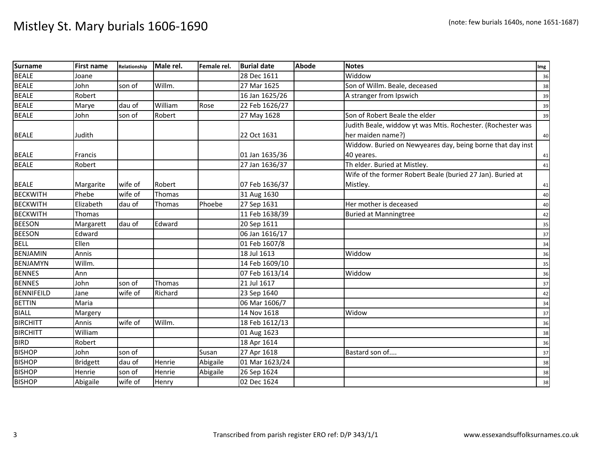| <b>Surname</b>    | <b>First name</b> | Relationship | Male rel. | Female rel. | <b>Burial date</b> | <b>Abode</b> | <b>Notes</b>                                                | Img |
|-------------------|-------------------|--------------|-----------|-------------|--------------------|--------------|-------------------------------------------------------------|-----|
| <b>BEALE</b>      | Joane             |              |           |             | 28 Dec 1611        |              | Widdow                                                      | 36  |
| <b>BEALE</b>      | John              | son of       | Willm.    |             | 27 Mar 1625        |              | Son of Willm. Beale, deceased                               | 38  |
| <b>BEALE</b>      | Robert            |              |           |             | 16 Jan 1625/26     |              | A stranger from Ipswich                                     | 39  |
| <b>BEALE</b>      | Marye             | dau of       | William   | Rose        | 22 Feb 1626/27     |              |                                                             | 39  |
| <b>BEALE</b>      | John              | son of       | Robert    |             | 27 May 1628        |              | Son of Robert Beale the elder                               | 39  |
|                   |                   |              |           |             |                    |              | Judith Beale, widdow yt was Mtis. Rochester. (Rochester was |     |
| <b>BEALE</b>      | Judith            |              |           |             | 22 Oct 1631        |              | her maiden name?)                                           | 40  |
|                   |                   |              |           |             |                    |              | Widdow. Buried on Newyeares day, being borne that day inst  |     |
| <b>BEALE</b>      | <b>Francis</b>    |              |           |             | 01 Jan 1635/36     |              | 40 yeares.                                                  | 41  |
| <b>BEALE</b>      | Robert            |              |           |             | 27 Jan 1636/37     |              | Th elder. Buried at Mistley.                                | 41  |
|                   |                   |              |           |             |                    |              | Wife of the former Robert Beale (buried 27 Jan). Buried at  |     |
| <b>BEALE</b>      | Margarite         | wife of      | Robert    |             | 07 Feb 1636/37     |              | Mistley.                                                    | 41  |
| <b>BECKWITH</b>   | Phebe             | wife of      | Thomas    |             | 31 Aug 1630        |              |                                                             | 40  |
| <b>BECKWITH</b>   | Elizabeth         | dau of       | Thomas    | Phoebe      | 27 Sep 1631        |              | Her mother is deceased                                      | 40  |
| <b>BECKWITH</b>   | Thomas            |              |           |             | 11 Feb 1638/39     |              | <b>Buried at Manningtree</b>                                | 42  |
| <b>BEESON</b>     | Margarett         | dau of       | Edward    |             | 20 Sep 1611        |              |                                                             | 35  |
| <b>BEESON</b>     | Edward            |              |           |             | 06 Jan 1616/17     |              |                                                             | 37  |
| <b>BELL</b>       | Ellen             |              |           |             | 01 Feb 1607/8      |              |                                                             | 34  |
| <b>BENJAMIN</b>   | Annis             |              |           |             | 18 Jul 1613        |              | Widdow                                                      | 36  |
| <b>BENJAMYN</b>   | Willm.            |              |           |             | 14 Feb 1609/10     |              |                                                             | 35  |
| <b>BENNES</b>     | Ann               |              |           |             | 07 Feb 1613/14     |              | Widdow                                                      | 36  |
| <b>BENNES</b>     | John              | son of       | Thomas    |             | 21 Jul 1617        |              |                                                             | 37  |
| <b>BENNIFEILD</b> | Jane              | wife of      | Richard   |             | 23 Sep 1640        |              |                                                             | 42  |
| <b>BETTIN</b>     | Maria             |              |           |             | 06 Mar 1606/7      |              |                                                             | 34  |
| <b>BIALL</b>      | Margery           |              |           |             | 14 Nov 1618        |              | Widow                                                       | 37  |
| <b>BIRCHITT</b>   | Annis             | wife of      | Willm.    |             | 18 Feb 1612/13     |              |                                                             | 36  |
| <b>BIRCHITT</b>   | William           |              |           |             | 01 Aug 1623        |              |                                                             | 38  |
| <b>BIRD</b>       | Robert            |              |           |             | 18 Apr 1614        |              |                                                             | 36  |
| <b>BISHOP</b>     | John              | son of       |           | Susan       | 27 Apr 1618        |              | Bastard son of                                              | 37  |
| <b>BISHOP</b>     | <b>Bridgett</b>   | dau of       | Henrie    | Abigaile    | 01 Mar 1623/24     |              |                                                             | 38  |
| <b>BISHOP</b>     | Henrie            | son of       | Henrie    | Abigaile    | 26 Sep 1624        |              |                                                             | 38  |
| <b>BISHOP</b>     | Abigaile          | wife of      | Henry     |             | 02 Dec 1624        |              |                                                             | 38  |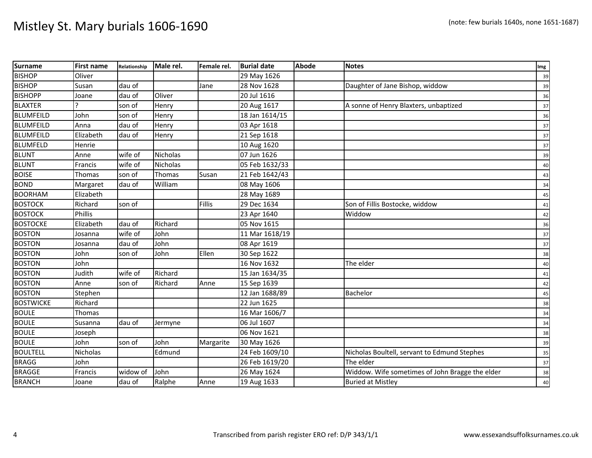| <b>Surname</b>   | <b>First name</b> | Relationship | Male rel.       | Female rel. | <b>Burial date</b> | <b>Abode</b> | <b>Notes</b>                                    | Img    |
|------------------|-------------------|--------------|-----------------|-------------|--------------------|--------------|-------------------------------------------------|--------|
| <b>BISHOP</b>    | Oliver            |              |                 |             | 29 May 1626        |              |                                                 | 39     |
| <b>BISHOP</b>    | Susan             | dau of       |                 | Jane        | 28 Nov 1628        |              | Daughter of Jane Bishop, widdow                 | 39     |
| <b>BISHOPP</b>   | Joane             | dau of       | Oliver          |             | 20 Jul 1616        |              |                                                 | 36     |
| <b>BLAXTER</b>   |                   | son of       | Henry           |             | 20 Aug 1617        |              | A sonne of Henry Blaxters, unbaptized           | 37     |
| <b>BLUMFEILD</b> | John              | son of       | Henry           |             | 18 Jan 1614/15     |              |                                                 | 36     |
| <b>BLUMFEILD</b> | Anna              | dau of       | Henry           |             | 03 Apr 1618        |              |                                                 | 37     |
| <b>BLUMFEILD</b> | Elizabeth         | dau of       | Henry           |             | 21 Sep 1618        |              |                                                 | 37     |
| <b>BLUMFELD</b>  | Henrie            |              |                 |             | 10 Aug 1620        |              |                                                 | 37     |
| <b>BLUNT</b>     | Anne              | wife of      | <b>Nicholas</b> |             | 07 Jun 1626        |              |                                                 | 39     |
| <b>BLUNT</b>     | Francis           | wife of      | <b>Nicholas</b> |             | 05 Feb 1632/33     |              |                                                 | 40     |
| <b>BOISE</b>     | Thomas            | son of       | Thomas          | Susan       | 21 Feb 1642/43     |              |                                                 | 43     |
| <b>BOND</b>      | Margaret          | dau of       | William         |             | 08 May 1606        |              |                                                 | 34     |
| <b>BOORHAM</b>   | Elizabeth         |              |                 |             | 28 May 1689        |              |                                                 | 45     |
| <b>BOSTOCK</b>   | Richard           | son of       |                 | Fillis      | 29 Dec 1634        |              | Son of Fillis Bostocke, widdow                  | 41     |
| <b>BOSTOCK</b>   | Phillis           |              |                 |             | 23 Apr 1640        |              | Widdow                                          | 42     |
| <b>BOSTOCKE</b>  | Elizabeth         | dau of       | Richard         |             | 05 Nov 1615        |              |                                                 | 36     |
| <b>BOSTON</b>    | Josanna           | wife of      | John            |             | 11 Mar 1618/19     |              |                                                 | 37     |
| <b>BOSTON</b>    | Josanna           | dau of       | John            |             | 08 Apr 1619        |              |                                                 | 37     |
| <b>BOSTON</b>    | John              | son of       | John            | Ellen       | 30 Sep 1622        |              |                                                 | 38     |
| <b>BOSTON</b>    | John              |              |                 |             | 16 Nov 1632        |              | The elder                                       | 40     |
| <b>BOSTON</b>    | Judith            | wife of      | Richard         |             | 15 Jan 1634/35     |              |                                                 | 41     |
| <b>BOSTON</b>    | Anne              | son of       | Richard         | Anne        | 15 Sep 1639        |              |                                                 | 42     |
| <b>BOSTON</b>    | Stephen           |              |                 |             | 12 Jan 1688/89     |              | Bachelor                                        | 45     |
| <b>BOSTWICKE</b> | Richard           |              |                 |             | 22 Jun 1625        |              |                                                 | 38     |
| <b>BOULE</b>     | Thomas            |              |                 |             | 16 Mar 1606/7      |              |                                                 | 34     |
| <b>BOULE</b>     | Susanna           | dau of       | Jermyne         |             | 06 Jul 1607        |              |                                                 | 34     |
| <b>BOULE</b>     | Joseph            |              |                 |             | 06 Nov 1621        |              |                                                 | 38     |
| <b>BOULE</b>     | John              | son of       | John            | Margarite   | 30 May 1626        |              |                                                 | 39     |
| <b>BOULTELL</b>  | Nicholas          |              | Edmund          |             | 24 Feb 1609/10     |              | Nicholas Boultell, servant to Edmund Stephes    | 35     |
| <b>BRAGG</b>     | John              |              |                 |             | 26 Feb 1619/20     |              | The elder                                       | 37     |
| <b>BRAGGE</b>    | Francis           | widow of     | John            |             | 26 May 1624        |              | Widdow. Wife sometimes of John Bragge the elder | 38     |
| <b>BRANCH</b>    | Joane             | dau of       | Ralphe          | Anne        | 19 Aug 1633        |              | <b>Buried at Mistley</b>                        | $40\,$ |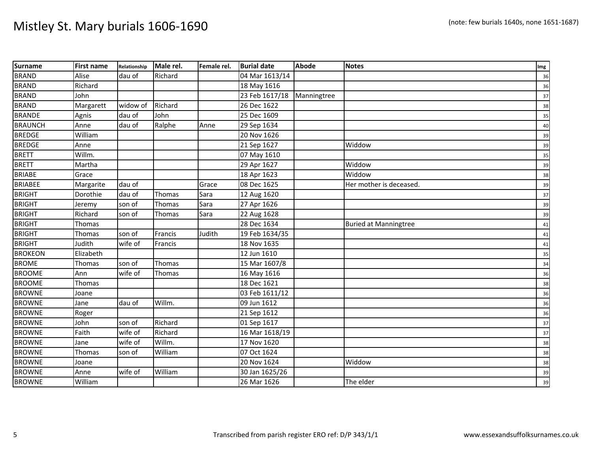| <b>Surname</b> | <b>First name</b> | Relationship | Male rel.     | Female rel. | <b>Burial date</b> | <b>Abode</b> | <b>Notes</b>                 | Img |
|----------------|-------------------|--------------|---------------|-------------|--------------------|--------------|------------------------------|-----|
| <b>BRAND</b>   | Alise             | dau of       | Richard       |             | 04 Mar 1613/14     |              |                              | 36  |
| <b>BRAND</b>   | Richard           |              |               |             | 18 May 1616        |              |                              | 36  |
| <b>BRAND</b>   | John              |              |               |             | 23 Feb 1617/18     | Manningtree  |                              | 37  |
| <b>BRAND</b>   | Margarett         | widow of     | Richard       |             | 26 Dec 1622        |              |                              | 38  |
| <b>BRANDE</b>  | Agnis             | dau of       | John          |             | 25 Dec 1609        |              |                              | 35  |
| <b>BRAUNCH</b> | Anne              | dau of       | Ralphe        | Anne        | 29 Sep 1634        |              |                              | 40  |
| <b>BREDGE</b>  | William           |              |               |             | 20 Nov 1626        |              |                              | 39  |
| <b>BREDGE</b>  | Anne              |              |               |             | 21 Sep 1627        |              | Widdow                       | 39  |
| <b>BRETT</b>   | Willm.            |              |               |             | 07 May 1610        |              |                              | 35  |
| <b>BRETT</b>   | Martha            |              |               |             | 29 Apr 1627        |              | Widdow                       | 39  |
| <b>BRIABE</b>  | Grace             |              |               |             | 18 Apr 1623        |              | Widdow                       | 38  |
| <b>BRIABEE</b> | Margarite         | dau of       |               | Grace       | 08 Dec 1625        |              | Her mother is deceased.      | 39  |
| <b>BRIGHT</b>  | Dorothie          | dau of       | <b>Thomas</b> | Sara        | 12 Aug 1620        |              |                              | 37  |
| <b>BRIGHT</b>  | Jeremy            | son of       | Thomas        | Sara        | 27 Apr 1626        |              |                              | 39  |
| <b>BRIGHT</b>  | Richard           | son of       | Thomas        | Sara        | 22 Aug 1628        |              |                              | 39  |
| <b>BRIGHT</b>  | Thomas            |              |               |             | 28 Dec 1634        |              | <b>Buried at Manningtree</b> | 41  |
| <b>BRIGHT</b>  | Thomas            | son of       | Francis       | Judith      | 19 Feb 1634/35     |              |                              | 41  |
| <b>BRIGHT</b>  | Judith            | wife of      | Francis       |             | 18 Nov 1635        |              |                              | 41  |
| <b>BROKEON</b> | Elizabeth         |              |               |             | 12 Jun 1610        |              |                              | 35  |
| <b>BROME</b>   | Thomas            | son of       | Thomas        |             | 15 Mar 1607/8      |              |                              | 34  |
| <b>BROOME</b>  | Ann               | wife of      | Thomas        |             | 16 May 1616        |              |                              | 36  |
| <b>BROOME</b>  | Thomas            |              |               |             | 18 Dec 1621        |              |                              | 38  |
| <b>BROWNE</b>  | Joane             |              |               |             | 03 Feb 1611/12     |              |                              | 36  |
| <b>BROWNE</b>  | Jane              | dau of       | Willm.        |             | 09 Jun 1612        |              |                              | 36  |
| <b>BROWNE</b>  | Roger             |              |               |             | 21 Sep 1612        |              |                              | 36  |
| <b>BROWNE</b>  | John              | son of       | Richard       |             | 01 Sep 1617        |              |                              | 37  |
| <b>BROWNE</b>  | Faith             | wife of      | Richard       |             | 16 Mar 1618/19     |              |                              | 37  |
| <b>BROWNE</b>  | Jane              | wife of      | Willm.        |             | 17 Nov 1620        |              |                              | 38  |
| <b>BROWNE</b>  | Thomas            | son of       | William       |             | 07 Oct 1624        |              |                              | 38  |
| <b>BROWNE</b>  | Joane             |              |               |             | 20 Nov 1624        |              | Widdow                       | 38  |
| <b>BROWNE</b>  | Anne              | wife of      | William       |             | 30 Jan 1625/26     |              |                              | 39  |
| <b>BROWNE</b>  | William           |              |               |             | 26 Mar 1626        |              | The elder                    | 39  |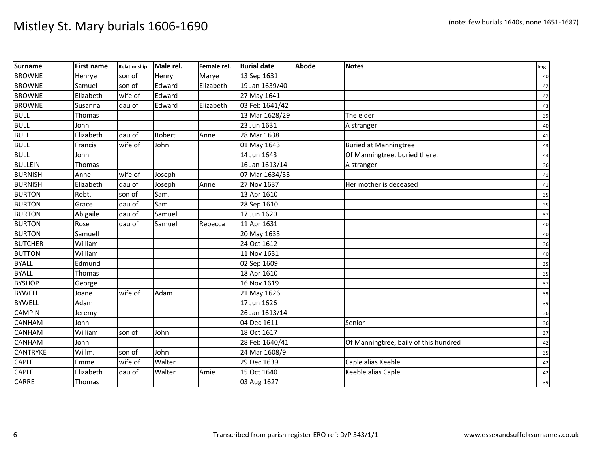| <b>Surname</b>  | <b>First name</b> | Relationship | Male rel. | Female rel. | <b>Burial date</b> | <b>Abode</b> | <b>Notes</b>                          | Img |
|-----------------|-------------------|--------------|-----------|-------------|--------------------|--------------|---------------------------------------|-----|
| <b>BROWNE</b>   | Henrye            | son of       | Henry     | Marye       | 13 Sep 1631        |              |                                       | 40  |
| <b>BROWNE</b>   | Samuel            | son of       | Edward    | Elizabeth   | 19 Jan 1639/40     |              |                                       | 42  |
| <b>BROWNE</b>   | Elizabeth         | wife of      | Edward    |             | 27 May 1641        |              |                                       | 42  |
| <b>BROWNE</b>   | Susanna           | dau of       | Edward    | Elizabeth   | 03 Feb 1641/42     |              |                                       | 43  |
| <b>BULL</b>     | Thomas            |              |           |             | 13 Mar 1628/29     |              | The elder                             | 39  |
| <b>BULL</b>     | John              |              |           |             | 23 Jun 1631        |              | A stranger                            | 40  |
| <b>BULL</b>     | Elizabeth         | dau of       | Robert    | Anne        | 28 Mar 1638        |              |                                       | 41  |
| <b>BULL</b>     | Francis           | wife of      | John      |             | 01 May 1643        |              | <b>Buried at Manningtree</b>          | 43  |
| <b>BULL</b>     | John              |              |           |             | 14 Jun 1643        |              | Of Manningtree, buried there.         | 43  |
| <b>BULLEIN</b>  | Thomas            |              |           |             | $16$ Jan $1613/14$ |              | A stranger                            | 36  |
| <b>BURNISH</b>  | Anne              | wife of      | Joseph    |             | 07 Mar 1634/35     |              |                                       | 41  |
| <b>BURNISH</b>  | Elizabeth         | dau of       | Joseph    | Anne        | 27 Nov 1637        |              | Her mother is deceased                | 41  |
| <b>BURTON</b>   | Robt.             | son of       | Sam.      |             | 13 Apr 1610        |              |                                       | 35  |
| <b>BURTON</b>   | Grace             | dau of       | Sam.      |             | 28 Sep 1610        |              |                                       | 35  |
| <b>BURTON</b>   | Abigaile          | dau of       | Samuell   |             | 17 Jun 1620        |              |                                       | 37  |
| <b>BURTON</b>   | Rose              | dau of       | Samuell   | Rebecca     | 11 Apr 1631        |              |                                       | 40  |
| <b>BURTON</b>   | Samuell           |              |           |             | 20 May 1633        |              |                                       | 40  |
| <b>BUTCHER</b>  | William           |              |           |             | 24 Oct 1612        |              |                                       | 36  |
| <b>BUTTON</b>   | William           |              |           |             | 11 Nov 1631        |              |                                       | 40  |
| <b>BYALL</b>    | Edmund            |              |           |             | 02 Sep 1609        |              |                                       | 35  |
| <b>BYALL</b>    | Thomas            |              |           |             | 18 Apr 1610        |              |                                       | 35  |
| <b>BYSHOP</b>   | George            |              |           |             | 16 Nov 1619        |              |                                       | 37  |
| <b>BYWELL</b>   | Joane             | wife of      | Adam      |             | 21 May 1626        |              |                                       | 39  |
| <b>BYWELL</b>   | Adam              |              |           |             | 17 Jun 1626        |              |                                       | 39  |
| <b>CAMPIN</b>   | Jeremy            |              |           |             | 26 Jan 1613/14     |              |                                       | 36  |
| <b>CANHAM</b>   | John              |              |           |             | 04 Dec 1611        |              | Senior                                | 36  |
| <b>CANHAM</b>   | William           | son of       | John      |             | 18 Oct 1617        |              |                                       | 37  |
| <b>CANHAM</b>   | John              |              |           |             | 28 Feb 1640/41     |              | Of Manningtree, baily of this hundred | 42  |
| <b>CANTRYKE</b> | Willm.            | son of       | John      |             | 24 Mar 1608/9      |              |                                       | 35  |
| <b>CAPLE</b>    | Emme              | wife of      | Walter    |             | 29 Dec 1639        |              | Caple alias Keeble                    | 42  |
| CAPLE           | Elizabeth         | dau of       | Walter    | Amie        | 15 Oct 1640        |              | Keeble alias Caple                    | 42  |
| CARRE           | Thomas            |              |           |             | 03 Aug 1627        |              |                                       | 39  |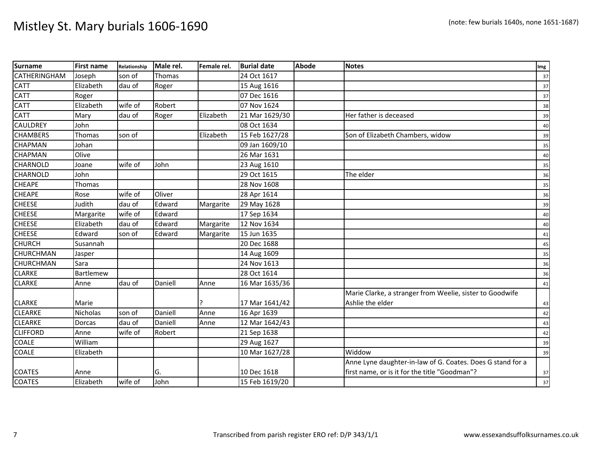| <b>Surname</b>      | <b>First name</b> | Relationship | Male rel. | Female rel. | <b>Burial date</b> | <b>Abode</b> | <b>Notes</b>                                               | Img |
|---------------------|-------------------|--------------|-----------|-------------|--------------------|--------------|------------------------------------------------------------|-----|
| <b>CATHERINGHAM</b> | Joseph            | son of       | Thomas    |             | 24 Oct 1617        |              |                                                            | 37  |
| CATT                | Elizabeth         | dau of       | Roger     |             | 15 Aug 1616        |              |                                                            | 37  |
| <b>CATT</b>         | Roger             |              |           |             | 07 Dec 1616        |              |                                                            | 37  |
| <b>CATT</b>         | Elizabeth         | wife of      | Robert    |             | 07 Nov 1624        |              |                                                            | 38  |
| <b>CATT</b>         | Mary              | dau of       | Roger     | Elizabeth   | 21 Mar 1629/30     |              | Her father is deceased                                     | 39  |
| <b>CAULDREY</b>     | John              |              |           |             | 08 Oct 1634        |              |                                                            | 40  |
| <b>CHAMBERS</b>     | Thomas            | son of       |           | Elizabeth   | 15 Feb 1627/28     |              | Son of Elizabeth Chambers, widow                           | 39  |
| <b>CHAPMAN</b>      | Johan             |              |           |             | 09 Jan 1609/10     |              |                                                            | 35  |
| <b>CHAPMAN</b>      | Olive             |              |           |             | 26 Mar 1631        |              |                                                            | 40  |
| <b>CHARNOLD</b>     | Joane             | wife of      | John      |             | 23 Aug 1610        |              |                                                            | 35  |
| <b>CHARNOLD</b>     | John              |              |           |             | 29 Oct 1615        |              | The elder                                                  | 36  |
| <b>CHEAPE</b>       | Thomas            |              |           |             | 28 Nov 1608        |              |                                                            | 35  |
| <b>CHEAPE</b>       | Rose              | wife of      | Oliver    |             | 28 Apr 1614        |              |                                                            | 36  |
| <b>CHEESE</b>       | Judith            | dau of       | Edward    | Margarite   | 29 May 1628        |              |                                                            | 39  |
| <b>CHEESE</b>       | Margarite         | wife of      | Edward    |             | 17 Sep 1634        |              |                                                            | 40  |
| <b>CHEESE</b>       | Elizabeth         | dau of       | Edward    | Margarite   | 12 Nov 1634        |              |                                                            | 40  |
| <b>CHEESE</b>       | Edward            | son of       | Edward    | Margarite   | 15 Jun 1635        |              |                                                            | 41  |
| <b>CHURCH</b>       | Susannah          |              |           |             | 20 Dec 1688        |              |                                                            | 45  |
| <b>CHURCHMAN</b>    | Jasper            |              |           |             | 14 Aug 1609        |              |                                                            | 35  |
| <b>CHURCHMAN</b>    | Sara              |              |           |             | 24 Nov 1613        |              |                                                            | 36  |
| <b>CLARKE</b>       | Bartlemew         |              |           |             | 28 Oct 1614        |              |                                                            | 36  |
| <b>CLARKE</b>       | Anne              | dau of       | Daniell   | Anne        | 16 Mar 1635/36     |              |                                                            | 41  |
|                     |                   |              |           |             |                    |              | Marie Clarke, a stranger from Weelie, sister to Goodwife   |     |
| <b>CLARKE</b>       | Marie             |              |           |             | 17 Mar 1641/42     |              | Ashlie the elder                                           | 43  |
| <b>CLEARKE</b>      | Nicholas          | son of       | Daniell   | Anne        | 16 Apr 1639        |              |                                                            | 42  |
| <b>CLEARKE</b>      | Dorcas            | dau of       | Daniell   | Anne        | 12 Mar 1642/43     |              |                                                            | 43  |
| <b>CLIFFORD</b>     | Anne              | wife of      | Robert    |             | 21 Sep 1638        |              |                                                            | 42  |
| <b>COALE</b>        | William           |              |           |             | 29 Aug 1627        |              |                                                            | 39  |
| <b>COALE</b>        | Elizabeth         |              |           |             | 10 Mar 1627/28     |              | Widdow                                                     | 39  |
|                     |                   |              |           |             |                    |              | Anne Lyne daughter-in-law of G. Coates. Does G stand for a |     |
| <b>COATES</b>       | Anne              |              | G.        |             | 10 Dec 1618        |              | first name, or is it for the title "Goodman"?              | 37  |
| <b>COATES</b>       | Elizabeth         | wife of      | John      |             | 15 Feb 1619/20     |              |                                                            | 37  |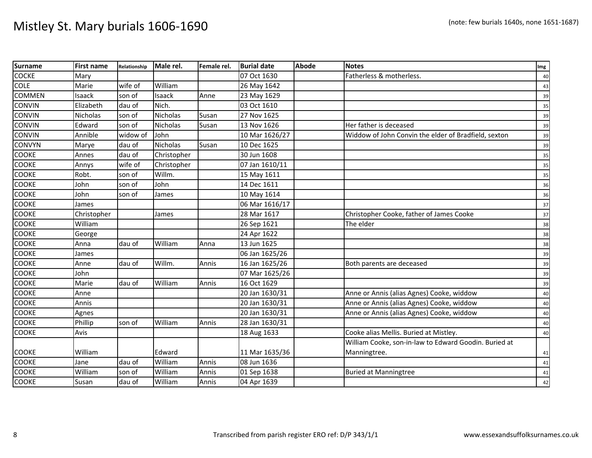| <b>Surname</b> | <b>First name</b> | Relationship | Male rel.       | Female rel. | <b>Burial date</b> | <b>Abode</b> | <b>Notes</b>                                          | Img |
|----------------|-------------------|--------------|-----------------|-------------|--------------------|--------------|-------------------------------------------------------|-----|
| <b>COCKE</b>   | Mary              |              |                 |             | 07 Oct 1630        |              | Fatherless & motherless.                              | 40  |
| <b>COLE</b>    | Marie             | wife of      | William         |             | 26 May 1642        |              |                                                       | 43  |
| <b>COMMEN</b>  | Isaack            | son of       | Isaack          | Anne        | 23 May 1629        |              |                                                       | 39  |
| <b>CONVIN</b>  | Elizabeth         | dau of       | Nich.           |             | 03 Oct 1610        |              |                                                       | 35  |
| <b>CONVIN</b>  | Nicholas          | son of       | Nicholas        | Susan       | 27 Nov 1625        |              |                                                       | 39  |
| <b>CONVIN</b>  | Edward            | son of       | <b>Nicholas</b> | Susan       | 13 Nov 1626        |              | Her father is deceased                                | 39  |
| <b>CONVIN</b>  | Annible           | widow of     | John            |             | 10 Mar 1626/27     |              | Widdow of John Convin the elder of Bradfield, sexton  | 39  |
| <b>CONVYN</b>  | Marye             | dau of       | Nicholas        | Susan       | 10 Dec 1625        |              |                                                       | 39  |
| <b>COOKE</b>   | Annes             | dau of       | Christopher     |             | 30 Jun 1608        |              |                                                       | 35  |
| <b>COOKE</b>   | Annys             | wife of      | Christopher     |             | 07 Jan 1610/11     |              |                                                       | 35  |
| <b>COOKE</b>   | Robt.             | son of       | Willm.          |             | 15 May 1611        |              |                                                       | 35  |
| <b>COOKE</b>   | John              | son of       | John            |             | 14 Dec 1611        |              |                                                       | 36  |
| <b>COOKE</b>   | John              | son of       | James           |             | 10 May 1614        |              |                                                       | 36  |
| <b>COOKE</b>   | James             |              |                 |             | 06 Mar 1616/17     |              |                                                       | 37  |
| <b>COOKE</b>   | Christopher       |              | James           |             | 28 Mar 1617        |              | Christopher Cooke, father of James Cooke              | 37  |
| <b>COOKE</b>   | William           |              |                 |             | 26 Sep 1621        |              | The elder                                             | 38  |
| <b>COOKE</b>   | George            |              |                 |             | 24 Apr 1622        |              |                                                       | 38  |
| <b>COOKE</b>   | Anna              | dau of       | William         | Anna        | 13 Jun 1625        |              |                                                       | 38  |
| <b>COOKE</b>   | James             |              |                 |             | 06 Jan 1625/26     |              |                                                       | 39  |
| <b>COOKE</b>   | Anne              | dau of       | Willm.          | Annis       | 16 Jan 1625/26     |              | Both parents are deceased                             | 39  |
| <b>COOKE</b>   | John              |              |                 |             | 07 Mar 1625/26     |              |                                                       | 39  |
| <b>COOKE</b>   | Marie             | dau of       | William         | Annis       | 16 Oct 1629        |              |                                                       | 39  |
| <b>COOKE</b>   | Anne              |              |                 |             | 20 Jan 1630/31     |              | Anne or Annis (alias Agnes) Cooke, widdow             | 40  |
| <b>COOKE</b>   | Annis             |              |                 |             | 20 Jan 1630/31     |              | Anne or Annis (alias Agnes) Cooke, widdow             | 40  |
| <b>COOKE</b>   | Agnes             |              |                 |             | 20 Jan 1630/31     |              | Anne or Annis (alias Agnes) Cooke, widdow             | 40  |
| <b>COOKE</b>   | Phillip           | son of       | William         | Annis       | 28 Jan 1630/31     |              |                                                       | 40  |
| <b>COOKE</b>   | Avis              |              |                 |             | 18 Aug 1633        |              | Cooke alias Mellis. Buried at Mistley.                | 40  |
|                |                   |              |                 |             |                    |              | William Cooke, son-in-law to Edward Goodin. Buried at |     |
| <b>COOKE</b>   | William           |              | Edward          |             | 11 Mar 1635/36     |              | Manningtree.                                          | 41  |
| <b>COOKE</b>   | Jane              | dau of       | William         | Annis       | 08 Jun 1636        |              |                                                       | 41  |
| <b>COOKE</b>   | William           | son of       | William         | Annis       | 01 Sep 1638        |              | <b>Buried at Manningtree</b>                          | 41  |
| COOKE          | Susan             | dau of       | William         | Annis       | 04 Apr 1639        |              |                                                       | 42  |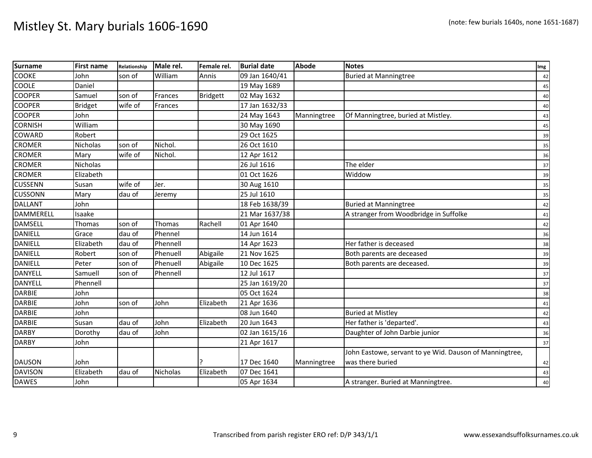| <b>Surname</b>   | <b>First name</b> | Relationship | Male rel. | Female rel.     | <b>Burial date</b> | <b>Abode</b> | <b>Notes</b>                                            | Img    |
|------------------|-------------------|--------------|-----------|-----------------|--------------------|--------------|---------------------------------------------------------|--------|
| <b>COOKE</b>     | John              | son of       | William   | Annis           | 09 Jan 1640/41     |              | <b>Buried at Manningtree</b>                            | 42     |
| COOLE            | Daniel            |              |           |                 | 19 May 1689        |              |                                                         | 45     |
| <b>COOPER</b>    | Samuel            | son of       | Frances   | <b>Bridgett</b> | 02 May 1632        |              |                                                         | $40\,$ |
| <b>COOPER</b>    | <b>Bridget</b>    | wife of      | Frances   |                 | 17 Jan 1632/33     |              |                                                         | 40     |
| <b>COOPER</b>    | John              |              |           |                 | 24 May 1643        | Manningtree  | Of Manningtree, buried at Mistley.                      | 43     |
| <b>CORNISH</b>   | William           |              |           |                 | 30 May 1690        |              |                                                         | 45     |
| COWARD           | Robert            |              |           |                 | 29 Oct 1625        |              |                                                         | 39     |
| <b>CROMER</b>    | Nicholas          | son of       | Nichol.   |                 | 26 Oct 1610        |              |                                                         | 35     |
| <b>CROMER</b>    | Mary              | wife of      | Nichol.   |                 | 12 Apr 1612        |              |                                                         | 36     |
| <b>CROMER</b>    | <b>Nicholas</b>   |              |           |                 | 26 Jul 1616        |              | The elder                                               | 37     |
| <b>CROMER</b>    | Elizabeth         |              |           |                 | 01 Oct 1626        |              | Widdow                                                  | 39     |
| <b>CUSSENN</b>   | Susan             | wife of      | Jer.      |                 | 30 Aug 1610        |              |                                                         | 35     |
| <b>CUSSONN</b>   | Mary              | dau of       | Jeremy    |                 | 25 Jul 1610        |              |                                                         | 35     |
| <b>DALLANT</b>   | John              |              |           |                 | 18 Feb 1638/39     |              | <b>Buried at Manningtree</b>                            | 42     |
| <b>DAMMERELL</b> | Isaake            |              |           |                 | 21 Mar 1637/38     |              | A stranger from Woodbridge in Suffolke                  | 41     |
| <b>DAMSELL</b>   | Thomas            | son of       | Thomas    | Rachell         | 01 Apr 1640        |              |                                                         | 42     |
| <b>DANIELL</b>   | Grace             | dau of       | Phennel   |                 | 14 Jun 1614        |              |                                                         | 36     |
| <b>DANIELL</b>   | Elizabeth         | dau of       | Phennell  |                 | 14 Apr 1623        |              | Her father is deceased                                  | 38     |
| <b>DANIELL</b>   | Robert            | son of       | Phenuell  | Abigaile        | 21 Nov 1625        |              | Both parents are deceased                               | 39     |
| <b>DANIELL</b>   | Peter             | son of       | Phenuell  | Abigaile        | 10 Dec 1625        |              | Both parents are deceased.                              | 39     |
| <b>DANYELL</b>   | Samuell           | son of       | Phennell  |                 | 12 Jul 1617        |              |                                                         | 37     |
| <b>DANYELL</b>   | Phennell          |              |           |                 | 25 Jan 1619/20     |              |                                                         | 37     |
| <b>DARBIE</b>    | John              |              |           |                 | 05 Oct 1624        |              |                                                         | 38     |
| <b>DARBIE</b>    | John              | son of       | John      | Elizabeth       | 21 Apr 1636        |              |                                                         | 41     |
| <b>DARBIE</b>    | John              |              |           |                 | 08 Jun 1640        |              | <b>Buried at Mistley</b>                                | 42     |
| <b>DARBIE</b>    | Susan             | dau of       | John      | Elizabeth       | 20 Jun 1643        |              | Her father is 'departed'.                               | 43     |
| <b>DARBY</b>     | Dorothy           | dau of       | John      |                 | 02 Jan 1615/16     |              | Daughter of John Darbie junior                          | 36     |
| <b>DARBY</b>     | John              |              |           |                 | 21 Apr 1617        |              |                                                         | 37     |
|                  |                   |              |           |                 |                    |              | John Eastowe, servant to ye Wid. Dauson of Manningtree, |        |
| <b>DAUSON</b>    | John              |              |           |                 | 17 Dec 1640        | Manningtree  | was there buried                                        | 42     |
| <b>DAVISON</b>   | Elizabeth         | dau of       | Nicholas  | Elizabeth       | 07 Dec 1641        |              |                                                         | 43     |
| <b>DAWES</b>     | John              |              |           |                 | 05 Apr 1634        |              | A stranger. Buried at Manningtree.                      | 40     |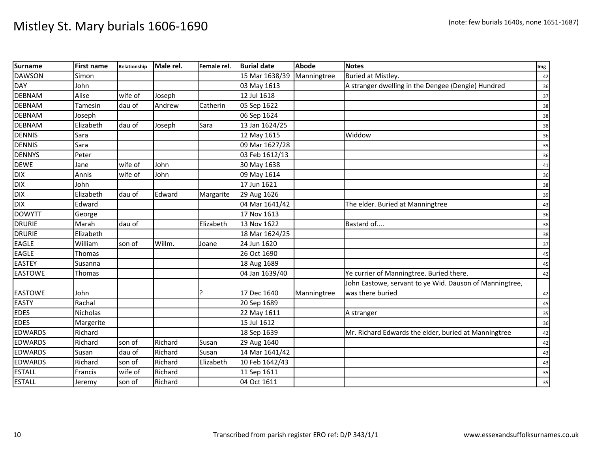| <b>Surname</b> | <b>First name</b> | Relationship | Male rel. | Female rel. | <b>Burial date</b> | <b>Abode</b> | <b>Notes</b>                                            | Img |
|----------------|-------------------|--------------|-----------|-------------|--------------------|--------------|---------------------------------------------------------|-----|
| <b>DAWSON</b>  | Simon             |              |           |             | 15 Mar 1638/39     | Manningtree  | Buried at Mistley.                                      | 42  |
| <b>DAY</b>     | John              |              |           |             | 03 May 1613        |              | A stranger dwelling in the Dengee (Dengie) Hundred      | 36  |
| <b>DEBNAM</b>  | Alise             | wife of      | Joseph    |             | 12 Jul 1618        |              |                                                         | 37  |
| <b>DEBNAM</b>  | Tamesin           | dau of       | Andrew    | Catherin    | 05 Sep 1622        |              |                                                         | 38  |
| <b>DEBNAM</b>  | Joseph            |              |           |             | 06 Sep 1624        |              |                                                         | 38  |
| <b>DEBNAM</b>  | Elizabeth         | dau of       | Joseph    | Sara        | 13 Jan 1624/25     |              |                                                         | 38  |
| <b>DENNIS</b>  | Sara              |              |           |             | 12 May 1615        |              | Widdow                                                  | 36  |
| <b>DENNIS</b>  | Sara              |              |           |             | 09 Mar 1627/28     |              |                                                         | 39  |
| <b>DENNYS</b>  | Peter             |              |           |             | 03 Feb 1612/13     |              |                                                         | 36  |
| <b>DEWE</b>    | Jane              | wife of      | John      |             | 30 May 1638        |              |                                                         | 41  |
| <b>DIX</b>     | Annis             | wife of      | John      |             | 09 May 1614        |              |                                                         | 36  |
| <b>DIX</b>     | John              |              |           |             | 17 Jun 1621        |              |                                                         | 38  |
| <b>DIX</b>     | Elizabeth         | dau of       | Edward    | Margarite   | 29 Aug 1626        |              |                                                         | 39  |
| <b>DIX</b>     | Edward            |              |           |             | 04 Mar 1641/42     |              | The elder. Buried at Manningtree                        | 43  |
| <b>DOWYTT</b>  | George            |              |           |             | 17 Nov 1613        |              |                                                         | 36  |
| <b>DRURIE</b>  | Marah             | dau of       |           | Elizabeth   | 13 Nov 1622        |              | Bastard of                                              | 38  |
| <b>DRURIE</b>  | Elizabeth         |              |           |             | 18 Mar 1624/25     |              |                                                         | 38  |
| EAGLE          | William           | son of       | Willm.    | Joane       | 24 Jun 1620        |              |                                                         | 37  |
| <b>EAGLE</b>   | Thomas            |              |           |             | 26 Oct 1690        |              |                                                         | 45  |
| <b>EASTEY</b>  | Susanna           |              |           |             | 18 Aug 1689        |              |                                                         | 45  |
| <b>EASTOWE</b> | Thomas            |              |           |             | 04 Jan 1639/40     |              | Ye currier of Manningtree. Buried there.                | 42  |
|                |                   |              |           |             |                    |              | John Eastowe, servant to ye Wid. Dauson of Manningtree, |     |
| <b>EASTOWE</b> | John              |              |           |             | 17 Dec 1640        | Manningtree  | was there buried                                        | 42  |
| <b>EASTY</b>   | Rachal            |              |           |             | 20 Sep 1689        |              |                                                         | 45  |
| <b>EDES</b>    | <b>Nicholas</b>   |              |           |             | 22 May 1611        |              | A stranger                                              | 35  |
| <b>EDES</b>    | Margerite         |              |           |             | 15 Jul 1612        |              |                                                         | 36  |
| <b>EDWARDS</b> | Richard           |              |           |             | 18 Sep 1639        |              | Mr. Richard Edwards the elder, buried at Manningtree    | 42  |
| <b>EDWARDS</b> | Richard           | son of       | Richard   | Susan       | 29 Aug 1640        |              |                                                         | 42  |
| <b>EDWARDS</b> | Susan             | dau of       | Richard   | Susan       | 14 Mar 1641/42     |              |                                                         | 43  |
| <b>EDWARDS</b> | Richard           | son of       | Richard   | Elizabeth   | 10 Feb 1642/43     |              |                                                         | 43  |
| <b>ESTALL</b>  | Francis           | wife of      | Richard   |             | 11 Sep 1611        |              |                                                         | 35  |
| <b>ESTALL</b>  | Jeremy            | son of       | Richard   |             | 04 Oct 1611        |              |                                                         | 35  |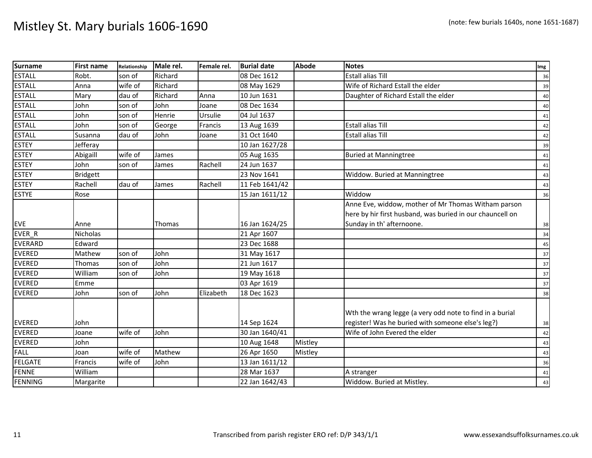| <b>Surname</b> | <b>First name</b> | Relationship | Male rel.     | Female rel. | <b>Burial date</b> | <b>Abode</b> | <b>Notes</b>                                              | Img |
|----------------|-------------------|--------------|---------------|-------------|--------------------|--------------|-----------------------------------------------------------|-----|
| <b>ESTALL</b>  | Robt.             | son of       | Richard       |             | 08 Dec 1612        |              | <b>Estall alias Till</b>                                  | 36  |
| <b>ESTALL</b>  | Anna              | wife of      | Richard       |             | 08 May 1629        |              | Wife of Richard Estall the elder                          | 39  |
| <b>ESTALL</b>  | Mary              | dau of       | Richard       | Anna        | 10 Jun 1631        |              | Daughter of Richard Estall the elder                      | 40  |
| <b>ESTALL</b>  | John              | son of       | John          | Joane       | 08 Dec 1634        |              |                                                           | 40  |
| <b>ESTALL</b>  | John              | son of       | <b>Henrie</b> | Ursulie     | 04 Jul 1637        |              |                                                           | 41  |
| <b>ESTALL</b>  | John              | son of       | George        | Francis     | 13 Aug 1639        |              | <b>Estall alias Till</b>                                  | 42  |
| <b>ESTALL</b>  | Susanna           | dau of       | John          | Joane       | 31 Oct 1640        |              | <b>Estall alias Till</b>                                  | 42  |
| <b>ESTEY</b>   | Jefferay          |              |               |             | 10 Jan 1627/28     |              |                                                           | 39  |
| <b>ESTEY</b>   | Abigaill          | wife of      | James         |             | 05 Aug 1635        |              | <b>Buried at Manningtree</b>                              | 41  |
| <b>ESTEY</b>   | John              | son of       | James         | Rachell     | 24 Jun 1637        |              |                                                           | 41  |
| <b>ESTEY</b>   | <b>Bridgett</b>   |              |               |             | 23 Nov 1641        |              | Widdow. Buried at Manningtree                             | 43  |
| <b>ESTEY</b>   | Rachell           | dau of       | James         | Rachell     | 11 Feb 1641/42     |              |                                                           | 43  |
| <b>ESTYE</b>   | Rose              |              |               |             | 15 Jan 1611/12     |              | Widdow                                                    | 36  |
|                |                   |              |               |             |                    |              | Anne Eve, widdow, mother of Mr Thomas Witham parson       |     |
|                |                   |              |               |             |                    |              | here by hir first husband, was buried in our chauncell on |     |
| <b>EVE</b>     | Anne              |              | Thomas        |             | 16 Jan 1624/25     |              | Sunday in th' afternoone.                                 | 38  |
| EVER_R         | Nicholas          |              |               |             | 21 Apr 1607        |              |                                                           | 34  |
| EVERARD        | Edward            |              |               |             | 23 Dec 1688        |              |                                                           | 45  |
| <b>EVERED</b>  | Mathew            | son of       | John          |             | 31 May 1617        |              |                                                           | 37  |
| <b>EVERED</b>  | Thomas            | son of       | John          |             | 21 Jun 1617        |              |                                                           | 37  |
| <b>EVERED</b>  | William           | son of       | John          |             | 19 May 1618        |              |                                                           | 37  |
| <b>EVERED</b>  | Emme              |              |               |             | 03 Apr 1619        |              |                                                           | 37  |
| <b>EVERED</b>  | John              | son of       | John          | Elizabeth   | 18 Dec 1623        |              |                                                           | 38  |
|                |                   |              |               |             |                    |              |                                                           |     |
|                |                   |              |               |             |                    |              | Wth the wrang legge (a very odd note to find in a burial  |     |
| <b>EVERED</b>  | John              |              |               |             | 14 Sep 1624        |              | register! Was he buried with someone else's leg?)         | 38  |
| <b>EVERED</b>  | Joane             | wife of      | John          |             | 30 Jan 1640/41     |              | Wife of John Evered the elder                             | 42  |
| <b>EVERED</b>  | John              |              |               |             | 10 Aug 1648        | Mistley      |                                                           | 43  |
| <b>FALL</b>    | Joan              | wife of      | Mathew        |             | 26 Apr 1650        | Mistley      |                                                           | 43  |
| FELGATE        | Francis           | wife of      | John          |             | 13 Jan 1611/12     |              |                                                           | 36  |
| FENNE          | William           |              |               |             | 28 Mar 1637        |              | A stranger                                                | 41  |
| <b>FENNING</b> | Margarite         |              |               |             | 22 Jan 1642/43     |              | Widdow. Buried at Mistley.                                | 43  |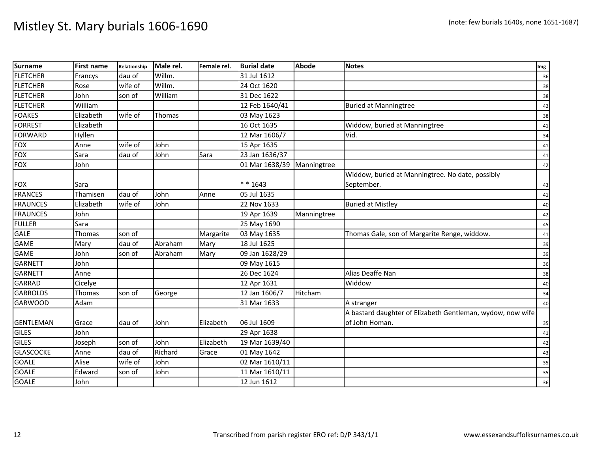| Surname          | <b>First name</b> | Relationship | Male rel. | Female rel. | <b>Burial date</b> | Abode       | <b>Notes</b>                                               | Img |
|------------------|-------------------|--------------|-----------|-------------|--------------------|-------------|------------------------------------------------------------|-----|
| <b>FLETCHER</b>  | Francys           | dau of       | Willm.    |             | 31 Jul 1612        |             |                                                            | 36  |
| <b>FLETCHER</b>  | Rose              | wife of      | Willm.    |             | 24 Oct 1620        |             |                                                            | 38  |
| <b>FLETCHER</b>  | John              | son of       | William   |             | 31 Dec 1622        |             |                                                            | 38  |
| <b>FLETCHER</b>  | William           |              |           |             | 12 Feb 1640/41     |             | <b>Buried at Manningtree</b>                               | 42  |
| <b>FOAKES</b>    | Elizabeth         | wife of      | Thomas    |             | 03 May 1623        |             |                                                            | 38  |
| <b>FORREST</b>   | Elizabeth         |              |           |             | 16 Oct 1635        |             | Widdow, buried at Manningtree                              | 41  |
| <b>FORWARD</b>   | Hyllen            |              |           |             | 12 Mar 1606/7      |             | Vid.                                                       | 34  |
| FOX              | Anne              | wife of      | John      |             | 15 Apr 1635        |             |                                                            | 41  |
| <b>FOX</b>       | Sara              | dau of       | John      | Sara        | 23 Jan 1636/37     |             |                                                            | 41  |
| <b>FOX</b>       | John              |              |           |             | 01 Mar 1638/39     | Manningtree |                                                            | 42  |
|                  |                   |              |           |             |                    |             | Widdow, buried at Manningtree. No date, possibly           |     |
| <b>FOX</b>       | Sara              |              |           |             | $* * 1643$         |             | September.                                                 | 43  |
| <b>FRANCES</b>   | Thamisen          | dau of       | John      | Anne        | 05 Jul 1635        |             |                                                            | 41  |
| <b>FRAUNCES</b>  | Elizabeth         | wife of      | John      |             | 22 Nov 1633        |             | <b>Buried at Mistley</b>                                   | 40  |
| <b>FRAUNCES</b>  | John              |              |           |             | 19 Apr 1639        | Manningtree |                                                            | 42  |
| <b>FULLER</b>    | Sara              |              |           |             | 25 May 1690        |             |                                                            | 45  |
| <b>GALE</b>      | Thomas            | son of       |           | Margarite   | 03 May 1635        |             | Thomas Gale, son of Margarite Renge, widdow.               | 41  |
| <b>GAME</b>      | Mary              | dau of       | Abraham   | Mary        | 18 Jul 1625        |             |                                                            | 39  |
| <b>GAME</b>      | John              | son of       | Abraham   | Mary        | 09 Jan 1628/29     |             |                                                            | 39  |
| <b>GARNETT</b>   | John              |              |           |             | 09 May 1615        |             |                                                            | 36  |
| <b>GARNETT</b>   | Anne              |              |           |             | 26 Dec 1624        |             | Alias Deaffe Nan                                           | 38  |
| <b>GARRAD</b>    | Cicelye           |              |           |             | 12 Apr 1631        |             | Widdow                                                     | 40  |
| <b>GARROLDS</b>  | <b>Thomas</b>     | son of       | George    |             | 12 Jan 1606/7      | Hitcham     |                                                            | 34  |
| <b>GARWOOD</b>   | Adam              |              |           |             | 31 Mar 1633        |             | A stranger                                                 | 40  |
|                  |                   |              |           |             |                    |             | A bastard daughter of Elizabeth Gentleman, wydow, now wife |     |
| <b>GENTLEMAN</b> | Grace             | dau of       | John      | Elizabeth   | 06 Jul 1609        |             | of John Homan.                                             | 35  |
| <b>GILES</b>     | John              |              |           |             | 29 Apr 1638        |             |                                                            | 41  |
| <b>GILES</b>     | Joseph            | son of       | John      | Elizabeth   | 19 Mar 1639/40     |             |                                                            | 42  |
| <b>GLASCOCKE</b> | Anne              | dau of       | Richard   | Grace       | 01 May 1642        |             |                                                            | 43  |
| <b>GOALE</b>     | Alise             | wife of      | John      |             | 02 Mar 1610/11     |             |                                                            | 35  |
| <b>GOALE</b>     | Edward            | son of       | John      |             | 11 Mar 1610/11     |             |                                                            | 35  |
| <b>GOALE</b>     | John              |              |           |             | 12 Jun 1612        |             |                                                            | 36  |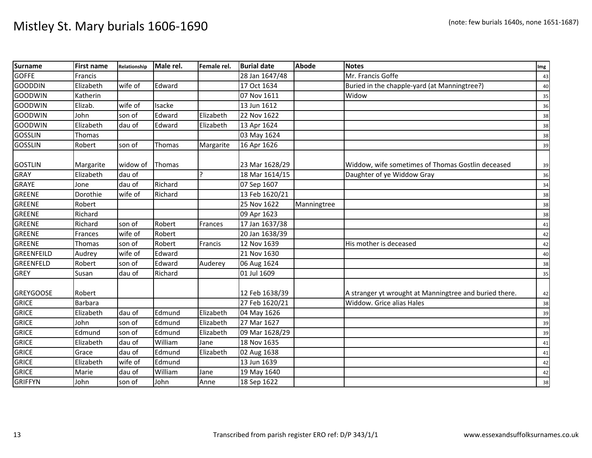| <b>Surname</b>    | <b>First name</b> | Relationship | Male rel. | Female rel.  | <b>Burial date</b> | <b>Abode</b> | <b>Notes</b>                                           | Img |
|-------------------|-------------------|--------------|-----------|--------------|--------------------|--------------|--------------------------------------------------------|-----|
| <b>GOFFE</b>      | Francis           |              |           |              | 28 Jan 1647/48     |              | Mr. Francis Goffe                                      | 43  |
| <b>GOODDIN</b>    | Elizabeth         | wife of      | Edward    |              | 17 Oct 1634        |              | Buried in the chapple-yard (at Manningtree?)           | 40  |
| <b>GOODWIN</b>    | Katherin          |              |           |              | 07 Nov 1611        |              | Widow                                                  | 35  |
| <b>GOODWIN</b>    | Elizab.           | wife of      | Isacke    |              | 13 Jun 1612        |              |                                                        | 36  |
| <b>GOODWIN</b>    | John              | son of       | Edward    | Elizabeth    | 22 Nov 1622        |              |                                                        | 38  |
| <b>GOODWIN</b>    | Elizabeth         | dau of       | Edward    | Elizabeth    | 13 Apr 1624        |              |                                                        | 38  |
| <b>GOSSLIN</b>    | Thomas            |              |           |              | 03 May 1624        |              |                                                        | 38  |
| <b>GOSSLIN</b>    | Robert            | son of       | Thomas    | Margarite    | 16 Apr 1626        |              |                                                        | 39  |
| <b>GOSTLIN</b>    | Margarite         | widow of     | Thomas    |              | 23 Mar 1628/29     |              | Widdow, wife sometimes of Thomas Gostlin deceased      | 39  |
| <b>GRAY</b>       | Elizabeth         | dau of       |           | $\mathbf{P}$ | 18 Mar 1614/15     |              | Daughter of ye Widdow Gray                             | 36  |
| <b>GRAYE</b>      | Jone              | dau of       | Richard   |              | 07 Sep 1607        |              |                                                        | 34  |
| <b>GREENE</b>     | Dorothie          | wife of      | Richard   |              | 13 Feb 1620/21     |              |                                                        | 38  |
| <b>GREENE</b>     | Robert            |              |           |              | 25 Nov 1622        | Manningtree  |                                                        | 38  |
| <b>GREENE</b>     | Richard           |              |           |              | 09 Apr 1623        |              |                                                        | 38  |
| GREENE            | Richard           | son of       | Robert    | Frances      | 17 Jan 1637/38     |              |                                                        | 41  |
| <b>GREENE</b>     | Frances           | wife of      | Robert    |              | 20 Jan 1638/39     |              |                                                        | 42  |
| <b>GREENE</b>     | Thomas            | son of       | Robert    | Francis      | 12 Nov 1639        |              | His mother is deceased                                 | 42  |
| <b>GREENFEILD</b> | Audrey            | wife of      | Edward    |              | 21 Nov 1630        |              |                                                        | 40  |
| <b>GREENFELD</b>  | Robert            | son of       | Edward    | Auderey      | 06 Aug 1624        |              |                                                        | 38  |
| <b>GREY</b>       | Susan             | dau of       | Richard   |              | 01 Jul 1609        |              |                                                        | 35  |
| <b>GREYGOOSE</b>  | Robert            |              |           |              | 12 Feb 1638/39     |              | A stranger yt wrought at Manningtree and buried there. | 42  |
| <b>GRICE</b>      | Barbara           |              |           |              | 27 Feb 1620/21     |              | Widdow. Grice alias Hales                              | 38  |
| <b>GRICE</b>      | Elizabeth         | dau of       | Edmund    | Elizabeth    | 04 May 1626        |              |                                                        | 39  |
| <b>GRICE</b>      | John              | son of       | Edmund    | Elizabeth    | 27 Mar 1627        |              |                                                        | 39  |
| <b>GRICE</b>      | Edmund            | son of       | Edmund    | Elizabeth    | 09 Mar 1628/29     |              |                                                        | 39  |
| <b>GRICE</b>      | Elizabeth         | dau of       | William   | Jane         | 18 Nov 1635        |              |                                                        | 41  |
| <b>GRICE</b>      | Grace             | dau of       | Edmund    | Elizabeth    | 02 Aug 1638        |              |                                                        | 41  |
| <b>GRICE</b>      | Elizabeth         | wife of      | Edmund    |              | 13 Jun 1639        |              |                                                        | 42  |
| <b>GRICE</b>      | Marie             | dau of       | William   | Jane         | 19 May 1640        |              |                                                        | 42  |
| <b>GRIFFYN</b>    | John              | son of       | John      | Anne         | 18 Sep 1622        |              |                                                        | 38  |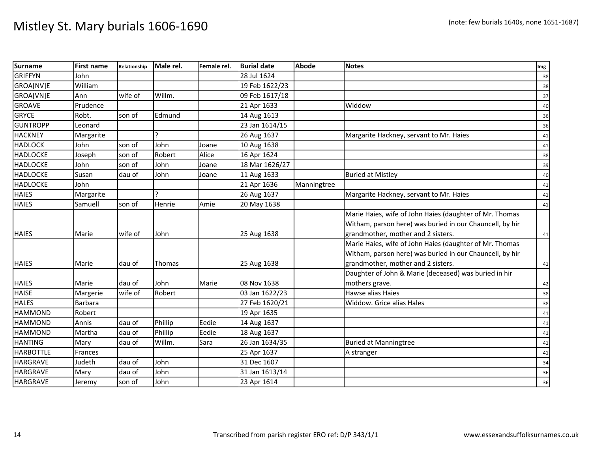| <b>Surname</b>   | <b>First name</b> | Relationship | Male rel.     | Female rel. | <b>Burial date</b> | <b>Abode</b> | <b>Notes</b>                                             | Img |
|------------------|-------------------|--------------|---------------|-------------|--------------------|--------------|----------------------------------------------------------|-----|
| <b>GRIFFYN</b>   | John              |              |               |             | 28 Jul 1624        |              |                                                          | 38  |
| GROA[NV]E        | William           |              |               |             | 19 Feb 1622/23     |              |                                                          | 38  |
| GROA[VN]E        | Ann               | wife of      | Willm.        |             | 09 Feb 1617/18     |              |                                                          | 37  |
| <b>GROAVE</b>    | Prudence          |              |               |             | 21 Apr 1633        |              | Widdow                                                   | 40  |
| <b>GRYCE</b>     | Robt.             | son of       | Edmund        |             | 14 Aug 1613        |              |                                                          | 36  |
| <b>GUNTROPP</b>  | Leonard           |              |               |             | 23 Jan 1614/15     |              |                                                          | 36  |
| <b>HACKNEY</b>   | Margarite         |              | C             |             | 26 Aug 1637        |              | Margarite Hackney, servant to Mr. Haies                  | 41  |
| <b>HADLOCK</b>   | John              | son of       | John          | Joane       | 10 Aug 1638        |              |                                                          | 41  |
| <b>HADLOCKE</b>  | Joseph            | son of       | Robert        | Alice       | 16 Apr 1624        |              |                                                          | 38  |
| <b>HADLOCKE</b>  | John              | son of       | John          | Joane       | 18 Mar 1626/27     |              |                                                          | 39  |
| <b>HADLOCKE</b>  | Susan             | dau of       | John          | Joane       | 11 Aug 1633        |              | <b>Buried at Mistley</b>                                 | 40  |
| <b>HADLOCKE</b>  | John              |              |               |             | 21 Apr 1636        | Manningtree  |                                                          | 41  |
| <b>HAIES</b>     | Margarite         |              |               |             | 26 Aug 1637        |              | Margarite Hackney, servant to Mr. Haies                  | 41  |
| <b>HAIES</b>     | Samuell           | son of       | Henrie        | Amie        | 20 May 1638        |              |                                                          | 41  |
|                  |                   |              |               |             |                    |              | Marie Haies, wife of John Haies (daughter of Mr. Thomas  |     |
|                  |                   |              |               |             |                    |              | Witham, parson here) was buried in our Chauncell, by hir |     |
| <b>HAIES</b>     | Marie             | wife of      | John          |             | 25 Aug 1638        |              | grandmother, mother and 2 sisters.                       | 41  |
|                  |                   |              |               |             |                    |              | Marie Haies, wife of John Haies (daughter of Mr. Thomas  |     |
|                  |                   |              |               |             |                    |              | Witham, parson here) was buried in our Chauncell, by hir |     |
| <b>HAIES</b>     | Marie             | dau of       | <b>Thomas</b> |             | 25 Aug 1638        |              | grandmother, mother and 2 sisters.                       | 41  |
|                  |                   |              |               |             |                    |              | Daughter of John & Marie (deceased) was buried in hir    |     |
| <b>HAIES</b>     | Marie             | dau of       | John          | Marie       | 08 Nov 1638        |              | mothers grave.                                           | 42  |
| <b>HAISE</b>     | Margerie          | wife of      | Robert        |             | 03 Jan 1622/23     |              | Hawse alias Haies                                        | 38  |
| <b>HALES</b>     | Barbara           |              |               |             | 27 Feb 1620/21     |              | Widdow. Grice alias Hales                                | 38  |
| <b>HAMMOND</b>   | Robert            |              |               |             | 19 Apr 1635        |              |                                                          | 41  |
| <b>HAMMOND</b>   | Annis             | dau of       | Phillip       | Eedie       | 14 Aug 1637        |              |                                                          | 41  |
| <b>HAMMOND</b>   | Martha            | dau of       | Phillip       | Eedie       | 18 Aug 1637        |              |                                                          | 41  |
| <b>HANTING</b>   | Mary              | dau of       | Willm.        | Sara        | 26 Jan 1634/35     |              | <b>Buried at Manningtree</b>                             | 41  |
| <b>HARBOTTLE</b> | Frances           |              |               |             | 25 Apr 1637        |              | A stranger                                               | 41  |
| <b>HARGRAVE</b>  | Judeth            | dau of       | John          |             | 31 Dec 1607        |              |                                                          | 34  |
| <b>HARGRAVE</b>  | Mary              | dau of       | John          |             | 31 Jan 1613/14     |              |                                                          | 36  |
| <b>HARGRAVE</b>  | Jeremy            | son of       | John          |             | 23 Apr 1614        |              |                                                          | 36  |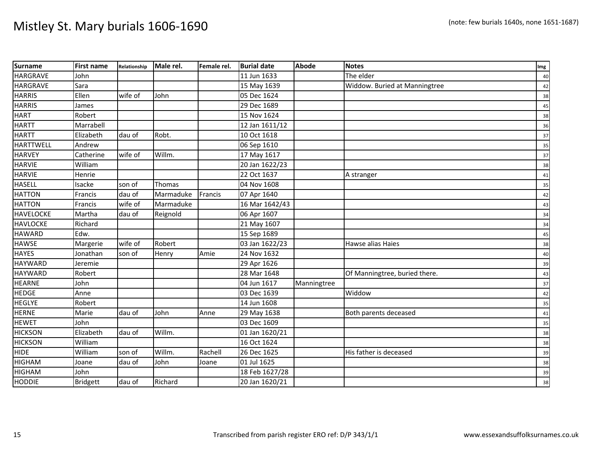| <b>Surname</b>   | <b>First name</b> | Relationship | Male rel. | Female rel. | <b>Burial date</b> | Abode       | <b>Notes</b>                  | Img |
|------------------|-------------------|--------------|-----------|-------------|--------------------|-------------|-------------------------------|-----|
| <b>HARGRAVE</b>  | John              |              |           |             | 11 Jun 1633        |             | The elder                     | 40  |
| <b>HARGRAVE</b>  | Sara              |              |           |             | 15 May 1639        |             | Widdow. Buried at Manningtree | 42  |
| <b>HARRIS</b>    | Ellen             | wife of      | John      |             | 05 Dec 1624        |             |                               | 38  |
| <b>HARRIS</b>    | James             |              |           |             | 29 Dec 1689        |             |                               | 45  |
| <b>HART</b>      | Robert            |              |           |             | 15 Nov 1624        |             |                               | 38  |
| <b>HARTT</b>     | Marrabell         |              |           |             | 12 Jan 1611/12     |             |                               | 36  |
| <b>HARTT</b>     | Elizabeth         | dau of       | Robt.     |             | 10 Oct 1618        |             |                               | 37  |
| <b>HARTTWELL</b> | Andrew            |              |           |             | 06 Sep 1610        |             |                               | 35  |
| <b>HARVEY</b>    | Catherine         | wife of      | Willm.    |             | 17 May 1617        |             |                               | 37  |
| <b>HARVIE</b>    | William           |              |           |             | 20 Jan 1622/23     |             |                               | 38  |
| <b>HARVIE</b>    | Henrie            |              |           |             | 22 Oct 1637        |             | A stranger                    | 41  |
| <b>HASELL</b>    | Isacke            | son of       | Thomas    |             | 04 Nov 1608        |             |                               | 35  |
| <b>HATTON</b>    | Francis           | dau of       | Marmaduke | Francis     | 07 Apr 1640        |             |                               | 42  |
| <b>HATTON</b>    | Francis           | wife of      | Marmaduke |             | 16 Mar 1642/43     |             |                               | 43  |
| <b>HAVELOCKE</b> | Martha            | dau of       | Reignold  |             | 06 Apr 1607        |             |                               | 34  |
| <b>HAVLOCKE</b>  | Richard           |              |           |             | 21 May 1607        |             |                               | 34  |
| <b>HAWARD</b>    | Edw.              |              |           |             | 15 Sep 1689        |             |                               | 45  |
| <b>HAWSE</b>     | Margerie          | wife of      | Robert    |             | 03 Jan 1622/23     |             | Hawse alias Haies             | 38  |
| <b>HAYES</b>     | Jonathan          | son of       | Henry     | Amie        | 24 Nov 1632        |             |                               | 40  |
| <b>HAYWARD</b>   | Jeremie           |              |           |             | 29 Apr 1626        |             |                               | 39  |
| <b>HAYWARD</b>   | Robert            |              |           |             | 28 Mar 1648        |             | Of Manningtree, buried there. | 43  |
| <b>HEARNE</b>    | John              |              |           |             | 04 Jun 1617        | Manningtree |                               | 37  |
| <b>HEDGE</b>     | Anne              |              |           |             | 03 Dec 1639        |             | Widdow                        | 42  |
| <b>HEGLYE</b>    | Robert            |              |           |             | 14 Jun 1608        |             |                               | 35  |
| <b>HERNE</b>     | Marie             | dau of       | John      | Anne        | 29 May 1638        |             | Both parents deceased         | 41  |
| <b>HEWET</b>     | John              |              |           |             | 03 Dec 1609        |             |                               | 35  |
| <b>HICKSON</b>   | Elizabeth         | dau of       | Willm.    |             | 01 Jan 1620/21     |             |                               | 38  |
| <b>HICKSON</b>   | William           |              |           |             | 16 Oct 1624        |             |                               | 38  |
| <b>HIDE</b>      | William           | son of       | Willm.    | Rachell     | 26 Dec 1625        |             | His father is deceased        | 39  |
| <b>HIGHAM</b>    | Joane             | dau of       | John      | Joane       | 01 Jul 1625        |             |                               | 38  |
| <b>HIGHAM</b>    | John              |              |           |             | 18 Feb 1627/28     |             |                               | 39  |
| <b>HODDIE</b>    | <b>Bridgett</b>   | dau of       | Richard   |             | 20 Jan 1620/21     |             |                               | 38  |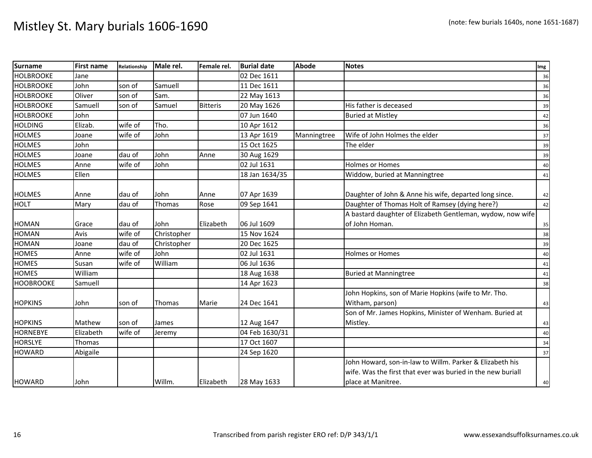| <b>Surname</b>   | <b>First name</b> | Relationship | Male rel.   | Female rel.     | <b>Burial date</b> | <b>Abode</b> | <b>Notes</b>                                                | Img |
|------------------|-------------------|--------------|-------------|-----------------|--------------------|--------------|-------------------------------------------------------------|-----|
| <b>HOLBROOKE</b> | Jane              |              |             |                 | 02 Dec 1611        |              |                                                             | 36  |
| <b>HOLBROOKE</b> | John              | son of       | Samuell     |                 | 11 Dec 1611        |              |                                                             | 36  |
| <b>HOLBROOKE</b> | Oliver            | son of       | Sam.        |                 | 22 May 1613        |              |                                                             | 36  |
| <b>HOLBROOKE</b> | Samuell           | son of       | Samuel      | <b>Bitteris</b> | 20 May 1626        |              | His father is deceased                                      | 39  |
| <b>HOLBROOKE</b> | John              |              |             |                 | 07 Jun 1640        |              | <b>Buried at Mistley</b>                                    | 42  |
| <b>HOLDING</b>   | Elizab.           | wife of      | Tho.        |                 | 10 Apr 1612        |              |                                                             | 36  |
| <b>HOLMES</b>    | Joane             | wife of      | John        |                 | 13 Apr 1619        | Manningtree  | Wife of John Holmes the elder                               | 37  |
| <b>HOLMES</b>    | John              |              |             |                 | 15 Oct 1625        |              | The elder                                                   | 39  |
| <b>HOLMES</b>    | Joane             | dau of       | John        | Anne            | 30 Aug 1629        |              |                                                             | 39  |
| <b>HOLMES</b>    | Anne              | wife of      | John        |                 | 02 Jul 1631        |              | <b>Holmes or Homes</b>                                      | 40  |
| <b>HOLMES</b>    | Ellen             |              |             |                 | 18 Jan 1634/35     |              | Widdow, buried at Manningtree                               | 41  |
|                  |                   |              |             |                 |                    |              |                                                             |     |
| <b>HOLMES</b>    | Anne              | dau of       | John        | Anne            | 07 Apr 1639        |              | Daughter of John & Anne his wife, departed long since.      | 42  |
| <b>HOLT</b>      | Mary              | dau of       | Thomas      | Rose            | 09 Sep 1641        |              | Daughter of Thomas Holt of Ramsey (dying here?)             | 42  |
|                  |                   |              |             |                 |                    |              | A bastard daughter of Elizabeth Gentleman, wydow, now wife  |     |
| <b>HOMAN</b>     | Grace             | dau of       | John        | Elizabeth       | 06 Jul 1609        |              | of John Homan.                                              | 35  |
| <b>HOMAN</b>     | Avis              | wife of      | Christopher |                 | 15 Nov 1624        |              |                                                             | 38  |
| <b>HOMAN</b>     | Joane             | dau of       | Christopher |                 | 20 Dec 1625        |              |                                                             | 39  |
| <b>HOMES</b>     | Anne              | wife of      | John        |                 | 02 Jul 1631        |              | <b>Holmes or Homes</b>                                      | 40  |
| <b>HOMES</b>     | Susan             | wife of      | William     |                 | 06 Jul 1636        |              |                                                             | 41  |
| <b>HOMES</b>     | William           |              |             |                 | 18 Aug 1638        |              | <b>Buried at Manningtree</b>                                | 41  |
| <b>HOOBROOKE</b> | Samuell           |              |             |                 | 14 Apr 1623        |              |                                                             | 38  |
|                  |                   |              |             |                 |                    |              | John Hopkins, son of Marie Hopkins (wife to Mr. Tho.        |     |
| <b>HOPKINS</b>   | John              | son of       | Thomas      | Marie           | 24 Dec 1641        |              | Witham, parson)                                             | 43  |
|                  |                   |              |             |                 |                    |              | Son of Mr. James Hopkins, Minister of Wenham. Buried at     |     |
| <b>HOPKINS</b>   | Mathew            | son of       | James       |                 | 12 Aug 1647        |              | Mistley.                                                    | 43  |
| <b>HORNEBYE</b>  | Elizabeth         | wife of      | Jeremy      |                 | 04 Feb 1630/31     |              |                                                             | 40  |
| <b>HORSLYE</b>   | Thomas            |              |             |                 | 17 Oct 1607        |              |                                                             | 34  |
| <b>HOWARD</b>    | Abigaile          |              |             |                 | 24 Sep 1620        |              |                                                             | 37  |
|                  |                   |              |             |                 |                    |              | John Howard, son-in-law to Willm. Parker & Elizabeth his    |     |
|                  |                   |              |             |                 |                    |              | wife. Was the first that ever was buried in the new buriall |     |
| <b>HOWARD</b>    | John              |              | Willm.      | Elizabeth       | 28 May 1633        |              | place at Manitree.                                          | 40  |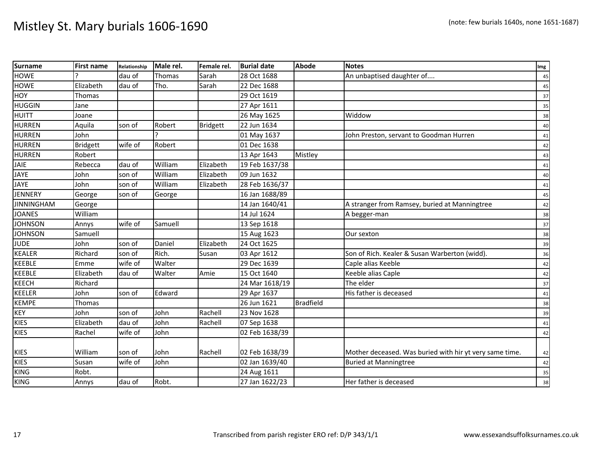| <b>Surname</b>    | <b>First name</b> | Relationship | Male rel. | Female rel.     | <b>Burial date</b> | <b>Abode</b>     | <b>Notes</b>                                            | Img |
|-------------------|-------------------|--------------|-----------|-----------------|--------------------|------------------|---------------------------------------------------------|-----|
| <b>HOWE</b>       |                   | dau of       | Thomas    | Sarah           | 28 Oct 1688        |                  | An unbaptised daughter of                               | 45  |
| <b>HOWE</b>       | Elizabeth         | dau of       | Tho.      | Sarah           | 22 Dec 1688        |                  |                                                         | 45  |
| HOY               | Thomas            |              |           |                 | 29 Oct 1619        |                  |                                                         | 37  |
| <b>HUGGIN</b>     | Jane              |              |           |                 | 27 Apr 1611        |                  |                                                         | 35  |
| <b>HUITT</b>      | Joane             |              |           |                 | 26 May 1625        |                  | Widdow                                                  | 38  |
| <b>HURREN</b>     | Aquila            | son of       | Robert    | <b>Bridgett</b> | 22 Jun 1634        |                  |                                                         | 40  |
| <b>HURREN</b>     | John              |              |           |                 | 01 May 1637        |                  | John Preston, servant to Goodman Hurren                 | 41  |
| <b>HURREN</b>     | <b>Bridgett</b>   | wife of      | Robert    |                 | 01 Dec 1638        |                  |                                                         | 42  |
| <b>HURREN</b>     | Robert            |              |           |                 | 13 Apr 1643        | Mistley          |                                                         | 43  |
| JAIE              | Rebecca           | dau of       | William   | Elizabeth       | 19 Feb 1637/38     |                  |                                                         | 41  |
| <b>JAYE</b>       | John              | son of       | William   | Elizabeth       | 09 Jun 1632        |                  |                                                         | 40  |
| <b>JAYE</b>       | John              | son of       | William   | Elizabeth       | 28 Feb 1636/37     |                  |                                                         | 41  |
| <b>JENNERY</b>    | George            | son of       | George    |                 | 16 Jan 1688/89     |                  |                                                         | 45  |
| <b>JINNINGHAM</b> | George            |              |           |                 | 14 Jan 1640/41     |                  | A stranger from Ramsey, buried at Manningtree           | 42  |
| <b>JOANES</b>     | William           |              |           |                 | 14 Jul 1624        |                  | A begger-man                                            | 38  |
| <b>JOHNSON</b>    | Annys             | wife of      | Samuell   |                 | 13 Sep 1618        |                  |                                                         | 37  |
| <b>JOHNSON</b>    | Samuell           |              |           |                 | 15 Aug 1623        |                  | Our sexton                                              | 38  |
| <b>JUDE</b>       | John              | son of       | Daniel    | Elizabeth       | 24 Oct 1625        |                  |                                                         | 39  |
| <b>KEALER</b>     | Richard           | son of       | Rich.     | Susan           | 03 Apr 1612        |                  | Son of Rich. Kealer & Susan Warberton (widd).           | 36  |
| <b>KEEBLE</b>     | Emme              | wife of      | Walter    |                 | 29 Dec 1639        |                  | Caple alias Keeble                                      | 42  |
| <b>KEEBLE</b>     | Elizabeth         | dau of       | Walter    | Amie            | 15 Oct 1640        |                  | Keeble alias Caple                                      | 42  |
| <b>KEECH</b>      | Richard           |              |           |                 | 24 Mar 1618/19     |                  | The elder                                               | 37  |
| <b>KEELER</b>     | John              | son of       | Edward    |                 | 29 Apr 1637        |                  | His father is deceased                                  | 41  |
| <b>KEMPE</b>      | Thomas            |              |           |                 | 26 Jun 1621        | <b>Bradfield</b> |                                                         | 38  |
| <b>KEY</b>        | John              | son of       | John      | Rachell         | 23 Nov 1628        |                  |                                                         | 39  |
| <b>KIES</b>       | Elizabeth         | dau of       | John      | Rachell         | 07 Sep 1638        |                  |                                                         | 41  |
| <b>KIES</b>       | Rachel            | wife of      | John      |                 | 02 Feb 1638/39     |                  |                                                         | 42  |
|                   |                   |              |           |                 |                    |                  |                                                         |     |
| <b>KIES</b>       | William           | son of       | John      | Rachell         | 02 Feb 1638/39     |                  | Mother deceased. Was buried with hir yt very same time. | 42  |
| <b>KIES</b>       | Susan             | wife of      | John      |                 | 02 Jan 1639/40     |                  | <b>Buried at Manningtree</b>                            | 42  |
| <b>KING</b>       | Robt.             |              |           |                 | 24 Aug 1611        |                  |                                                         | 35  |
| <b>KING</b>       | Annys             | dau of       | Robt.     |                 | 27 Jan 1622/23     |                  | Her father is deceased                                  | 38  |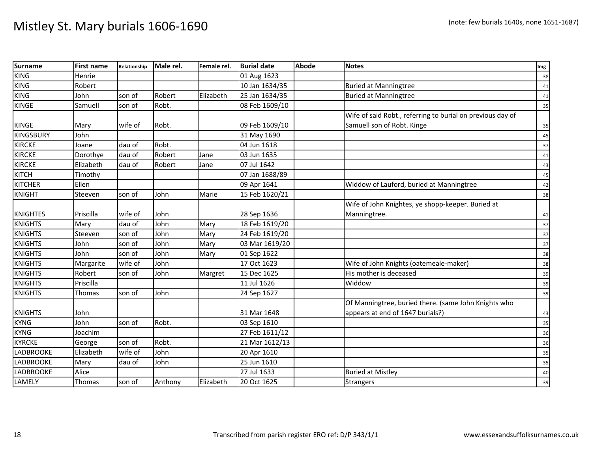| <b>Surname</b>   | <b>First name</b> | Relationship | Male rel. | Female rel. | <b>Burial date</b> | <b>Abode</b> | <b>Notes</b>                                               | Img |
|------------------|-------------------|--------------|-----------|-------------|--------------------|--------------|------------------------------------------------------------|-----|
| <b>KING</b>      | Henrie            |              |           |             | 01 Aug 1623        |              |                                                            | 38  |
| <b>KING</b>      | Robert            |              |           |             | 10 Jan 1634/35     |              | <b>Buried at Manningtree</b>                               | 41  |
| <b>KING</b>      | John              | son of       | Robert    | Elizabeth   | 25 Jan 1634/35     |              | <b>Buried at Manningtree</b>                               | 41  |
| <b>KINGE</b>     | Samuell           | son of       | Robt.     |             | 08 Feb 1609/10     |              |                                                            | 35  |
|                  |                   |              |           |             |                    |              | Wife of said Robt., referring to burial on previous day of |     |
| <b>KINGE</b>     | Mary              | wife of      | Robt.     |             | 09 Feb 1609/10     |              | Samuell son of Robt. Kinge                                 | 35  |
| <b>KINGSBURY</b> | John              |              |           |             | 31 May 1690        |              |                                                            | 45  |
| <b>KIRCKE</b>    | Joane             | dau of       | Robt.     |             | 04 Jun 1618        |              |                                                            | 37  |
| <b>KIRCKE</b>    | Dorothye          | dau of       | Robert    | Jane        | 03 Jun 1635        |              |                                                            | 41  |
| <b>KIRCKE</b>    | Elizabeth         | dau of       | Robert    | Jane        | 07 Jul 1642        |              |                                                            | 43  |
| KITCH            | Timothy           |              |           |             | 07 Jan 1688/89     |              |                                                            | 45  |
| <b>KITCHER</b>   | Ellen             |              |           |             | 09 Apr 1641        |              | Widdow of Lauford, buried at Manningtree                   | 42  |
| <b>KNIGHT</b>    | Steeven           | son of       | John      | Marie       | 15 Feb 1620/21     |              |                                                            | 38  |
|                  |                   |              |           |             |                    |              | Wife of John Knightes, ye shopp-keeper. Buried at          |     |
| <b>KNIGHTES</b>  | Priscilla         | wife of      | John      |             | 28 Sep 1636        |              | Manningtree.                                               | 41  |
| <b>KNIGHTS</b>   | Mary              | dau of       | John      | Mary        | 18 Feb 1619/20     |              |                                                            | 37  |
| <b>KNIGHTS</b>   | Steeven           | son of       | John      | Mary        | 24 Feb 1619/20     |              |                                                            | 37  |
| <b>KNIGHTS</b>   | John              | son of       | John      | Mary        | 03 Mar 1619/20     |              |                                                            | 37  |
| <b>KNIGHTS</b>   | John              | son of       | John      | Mary        | 01 Sep 1622        |              |                                                            | 38  |
| <b>KNIGHTS</b>   | Margarite         | wife of      | John      |             | 17 Oct 1623        |              | Wife of John Knights (oatemeale-maker)                     | 38  |
| <b>KNIGHTS</b>   | Robert            | son of       | John      | Margret     | 15 Dec 1625        |              | His mother is deceased                                     | 39  |
| <b>KNIGHTS</b>   | Priscilla         |              |           |             | 11 Jul 1626        |              | Widdow                                                     | 39  |
| <b>KNIGHTS</b>   | Thomas            | son of       | John      |             | 24 Sep 1627        |              |                                                            | 39  |
|                  |                   |              |           |             |                    |              | Of Manningtree, buried there. (same John Knights who       |     |
| <b>KNIGHTS</b>   | John              |              |           |             | 31 Mar 1648        |              | appears at end of 1647 burials?)                           | 43  |
| <b>KYNG</b>      | John              | son of       | Robt.     |             | 03 Sep 1610        |              |                                                            | 35  |
| <b>KYNG</b>      | Joachim           |              |           |             | 27 Feb 1611/12     |              |                                                            | 36  |
| <b>KYRCKE</b>    | George            | son of       | Robt.     |             | 21 Mar 1612/13     |              |                                                            | 36  |
| LADBROOKE        | Elizabeth         | wife of      | John      |             | 20 Apr 1610        |              |                                                            | 35  |
| <b>LADBROOKE</b> | Mary              | dau of       | John      |             | 25 Jun 1610        |              |                                                            | 35  |
| <b>LADBROOKE</b> | Alice             |              |           |             | 27 Jul 1633        |              | <b>Buried at Mistley</b>                                   | 40  |
| LAMELY           | Thomas            | son of       | Anthony   | Elizabeth   | 20 Oct 1625        |              | <b>Strangers</b>                                           | 39  |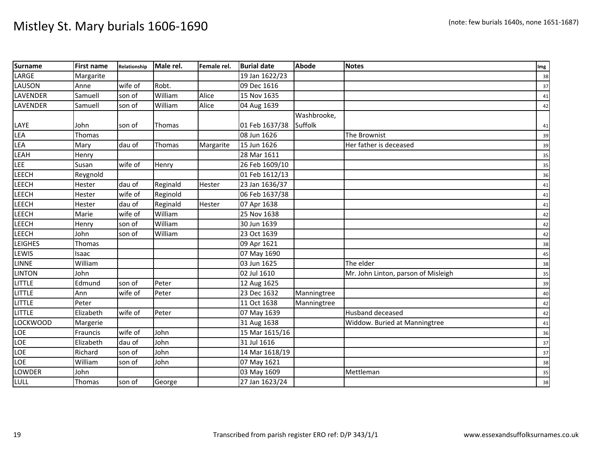| <b>Surname</b>  | <b>First name</b> | Relationship | Male rel. | Female rel. | <b>Burial date</b> | <b>Abode</b> | <b>Notes</b>                        | Img |
|-----------------|-------------------|--------------|-----------|-------------|--------------------|--------------|-------------------------------------|-----|
| LARGE           | Margarite         |              |           |             | 19 Jan 1622/23     |              |                                     | 38  |
| LAUSON          | Anne              | wife of      | Robt.     |             | 09 Dec 1616        |              |                                     | 37  |
| <b>LAVENDER</b> | Samuell           | son of       | William   | Alice       | 15 Nov 1635        |              |                                     | 41  |
| <b>LAVENDER</b> | Samuell           | son of       | William   | Alice       | 04 Aug 1639        |              |                                     | 42  |
|                 |                   |              |           |             |                    | Washbrooke,  |                                     |     |
| LAYE            | John              | son of       | Thomas    |             | 01 Feb 1637/38     | Suffolk      |                                     | 41  |
| LEA             | Thomas            |              |           |             | 08 Jun 1626        |              | The Brownist                        | 39  |
| LEA             | Mary              | dau of       | Thomas    | Margarite   | 15 Jun 1626        |              | Her father is deceased              | 39  |
| LEAH            | Henry             |              |           |             | 28 Mar 1611        |              |                                     | 35  |
| <b>LEE</b>      | Susan             | wife of      | Henry     |             | 26 Feb 1609/10     |              |                                     | 35  |
| LEECH           | Reygnold          |              |           |             | 01 Feb 1612/13     |              |                                     | 36  |
| LEECH           | Hester            | dau of       | Reginald  | Hester      | 23 Jan 1636/37     |              |                                     | 41  |
| <b>LEECH</b>    | Hester            | wife of      | Reginold  |             | 06 Feb 1637/38     |              |                                     | 41  |
| <b>LEECH</b>    | Hester            | dau of       | Reginald  | Hester      | 07 Apr 1638        |              |                                     | 41  |
| <b>LEECH</b>    | Marie             | wife of      | William   |             | 25 Nov 1638        |              |                                     | 42  |
| LEECH           | Henry             | son of       | William   |             | 30 Jun 1639        |              |                                     | 42  |
| <b>LEECH</b>    | John              | son of       | William   |             | 23 Oct 1639        |              |                                     | 42  |
| <b>LEIGHES</b>  | Thomas            |              |           |             | 09 Apr 1621        |              |                                     | 38  |
| LEWIS           | Isaac             |              |           |             | 07 May 1690        |              |                                     | 45  |
| <b>LINNE</b>    | William           |              |           |             | 03 Jun 1625        |              | The elder                           | 38  |
| <b>LINTON</b>   | John              |              |           |             | 02 Jul 1610        |              | Mr. John Linton, parson of Misleigh | 35  |
| <b>LITTLE</b>   | Edmund            | son of       | Peter     |             | 12 Aug 1625        |              |                                     | 39  |
| <b>LITTLE</b>   | Ann               | wife of      | Peter     |             | 23 Dec 1632        | Manningtree  |                                     | 40  |
| LITTLE          | Peter             |              |           |             | 11 Oct 1638        | Manningtree  |                                     | 42  |
| <b>LITTLE</b>   | Elizabeth         | wife of      | Peter     |             | 07 May 1639        |              | <b>Husband deceased</b>             | 42  |
| <b>LOCKWOOD</b> | Margerie          |              |           |             | 31 Aug 1638        |              | Widdow. Buried at Manningtree       | 41  |
| LOE             | Frauncis          | wife of      | John      |             | 15 Mar 1615/16     |              |                                     | 36  |
| LOE             | Elizabeth         | dau of       | John      |             | 31 Jul 1616        |              |                                     | 37  |
| LOE             | Richard           | son of       | John      |             | 14 Mar 1618/19     |              |                                     | 37  |
| LOE             | William           | son of       | John      |             | 07 May 1621        |              |                                     | 38  |
| <b>LOWDER</b>   | John              |              |           |             | 03 May 1609        |              | Mettleman                           | 35  |
| LULL            | Thomas            | son of       | George    |             | 27 Jan 1623/24     |              |                                     | 38  |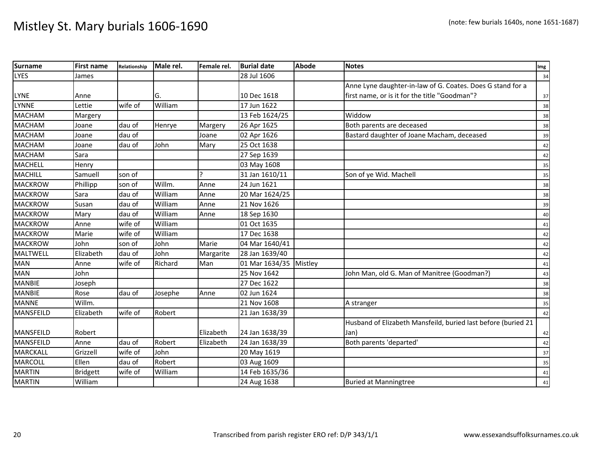| <b>Surname</b>   | <b>First name</b> | Relationship | Male rel. | Female rel. | <b>Burial date</b> | <b>Abode</b> | <b>Notes</b>                                                  | Img    |
|------------------|-------------------|--------------|-----------|-------------|--------------------|--------------|---------------------------------------------------------------|--------|
| <b>LYES</b>      | James             |              |           |             | 28 Jul 1606        |              |                                                               | 34     |
|                  |                   |              |           |             |                    |              | Anne Lyne daughter-in-law of G. Coates. Does G stand for a    |        |
| <b>LYNE</b>      | Anne              |              | G.        |             | 10 Dec 1618        |              | first name, or is it for the title "Goodman"?                 | 37     |
| <b>LYNNE</b>     | Lettie            | wife of      | William   |             | 17 Jun 1622        |              |                                                               | 38     |
| <b>MACHAM</b>    | Margery           |              |           |             | 13 Feb 1624/25     |              | Widdow                                                        | 38     |
| <b>MACHAM</b>    | Joane             | dau of       | Henrye    | Margery     | 26 Apr 1625        |              | Both parents are deceased                                     | 38     |
| <b>MACHAM</b>    | Joane             | dau of       |           | Joane       | 02 Apr 1626        |              | Bastard daughter of Joane Macham, deceased                    | 39     |
| <b>MACHAM</b>    | Joane             | dau of       | John      | Mary        | 25 Oct 1638        |              |                                                               | 42     |
| <b>MACHAM</b>    | Sara              |              |           |             | 27 Sep 1639        |              |                                                               | 42     |
| <b>MACHELL</b>   | Henry             |              |           |             | 03 May 1608        |              |                                                               | 35     |
| <b>MACHILL</b>   | Samuell           | son of       |           |             | 31 Jan 1610/11     |              | Son of ye Wid. Machell                                        | 35     |
| <b>MACKROW</b>   | Phillipp          | son of       | Willm.    | Anne        | 24 Jun 1621        |              |                                                               | 38     |
| <b>MACKROW</b>   | Sara              | dau of       | William   | Anne        | 20 Mar 1624/25     |              |                                                               | 38     |
| <b>MACKROW</b>   | Susan             | dau of       | William   | Anne        | 21 Nov 1626        |              |                                                               | 39     |
| <b>MACKROW</b>   | Mary              | dau of       | William   | Anne        | 18 Sep 1630        |              |                                                               | 40     |
| <b>MACKROW</b>   | Anne              | wife of      | William   |             | 01 Oct 1635        |              |                                                               | 41     |
| <b>MACKROW</b>   | Marie             | wife of      | William   |             | 17 Dec 1638        |              |                                                               | 42     |
| <b>MACKROW</b>   | John              | son of       | John      | Marie       | 04 Mar 1640/41     |              |                                                               | 42     |
| MALTWELL         | Elizabeth         | dau of       | John      | Margarite   | 28 Jan 1639/40     |              |                                                               | 42     |
| <b>MAN</b>       | Anne              | wife of      | Richard   | Man         | 01 Mar 1634/35     | Mistley      |                                                               | 41     |
| <b>MAN</b>       | John              |              |           |             | 25 Nov 1642        |              | John Man, old G. Man of Manitree (Goodman?)                   | 43     |
| <b>MANBIE</b>    | Joseph            |              |           |             | 27 Dec 1622        |              |                                                               | 38     |
| <b>MANBIE</b>    | Rose              | dau of       | Josephe   | Anne        | 02 Jun 1624        |              |                                                               | 38     |
| <b>MANNE</b>     | Willm.            |              |           |             | 21 Nov 1608        |              | A stranger                                                    | 35     |
| <b>MANSFEILD</b> | Elizabeth         | wife of      | Robert    |             | 21 Jan 1638/39     |              |                                                               | 42     |
|                  |                   |              |           |             |                    |              | Husband of Elizabeth Mansfeild, buried last before (buried 21 |        |
| <b>MANSFEILD</b> | Robert            |              |           | Elizabeth   | 24 Jan 1638/39     |              | Jan)                                                          | 42     |
| <b>MANSFEILD</b> | Anne              | dau of       | Robert    | Elizabeth   | 24 Jan 1638/39     |              | Both parents 'departed'                                       | 42     |
| <b>MARCKALL</b>  | Grizzell          | wife of      | John      |             | 20 May 1619        |              |                                                               | 37     |
| <b>MARCOLL</b>   | Ellen             | dau of       | Robert    |             | 03 Aug 1609        |              |                                                               | 35     |
| <b>MARTIN</b>    | <b>Bridgett</b>   | wife of      | William   |             | 14 Feb 1635/36     |              |                                                               | 41     |
| <b>MARTIN</b>    | William           |              |           |             | 24 Aug 1638        |              | <b>Buried at Manningtree</b>                                  | $41\,$ |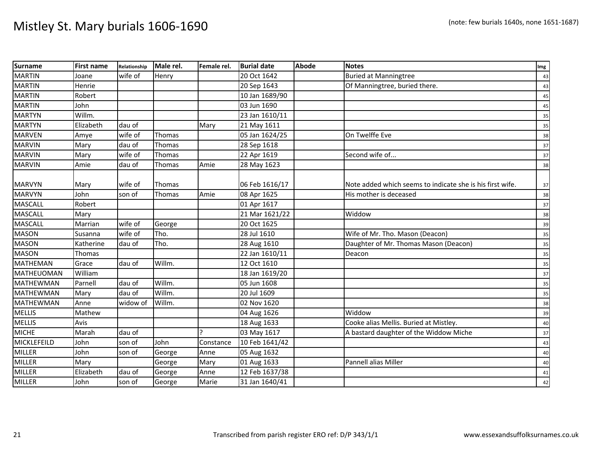| <b>Surname</b>   | <b>First name</b> | Relationship | Male rel.     | Female rel. | <b>Burial date</b> | <b>Abode</b> | <b>Notes</b>                                              | Img |
|------------------|-------------------|--------------|---------------|-------------|--------------------|--------------|-----------------------------------------------------------|-----|
| <b>MARTIN</b>    | Joane             | wife of      | Henry         |             | 20 Oct 1642        |              | <b>Buried at Manningtree</b>                              | 43  |
| <b>MARTIN</b>    | Henrie            |              |               |             | 20 Sep 1643        |              | Of Manningtree, buried there.                             | 43  |
| <b>MARTIN</b>    | Robert            |              |               |             | 10 Jan 1689/90     |              |                                                           | 45  |
| <b>MARTIN</b>    | John              |              |               |             | 03 Jun 1690        |              |                                                           | 45  |
| <b>MARTYN</b>    | Willm.            |              |               |             | 23 Jan 1610/11     |              |                                                           | 35  |
| <b>MARTYN</b>    | Elizabeth         | dau of       |               | Mary        | 21 May 1611        |              |                                                           | 35  |
| <b>MARVEN</b>    | Amye              | wife of      | Thomas        |             | 05 Jan 1624/25     |              | On Twelffe Eve                                            | 38  |
| <b>MARVIN</b>    | Mary              | dau of       | Thomas        |             | 28 Sep 1618        |              |                                                           | 37  |
| <b>MARVIN</b>    | Mary              | wife of      | Thomas        |             | 22 Apr 1619        |              | Second wife of                                            | 37  |
| <b>MARVIN</b>    | Amie              | dau of       | Thomas        | Amie        | 28 May 1623        |              |                                                           | 38  |
| <b>MARVYN</b>    | Mary              | wife of      | <b>Thomas</b> |             | 06 Feb 1616/17     |              | Note added which seems to indicate she is his first wife. | 37  |
| <b>MARVYN</b>    | John              | son of       | <b>Thomas</b> | Amie        | 08 Apr 1625        |              | His mother is deceased                                    | 38  |
| <b>MASCALL</b>   | Robert            |              |               |             | 01 Apr 1617        |              |                                                           | 37  |
| <b>MASCALL</b>   | Mary              |              |               |             | 21 Mar 1621/22     |              | Widdow                                                    | 38  |
| <b>MASCALL</b>   | Marrian           | wife of      | George        |             | 20 Oct 1625        |              |                                                           | 39  |
| <b>MASON</b>     | Susanna           | wife of      | Tho.          |             | 28 Jul 1610        |              | Wife of Mr. Tho. Mason (Deacon)                           | 35  |
| <b>MASON</b>     | Katherine         | dau of       | Tho.          |             | 28 Aug 1610        |              | Daughter of Mr. Thomas Mason (Deacon)                     | 35  |
| <b>MASON</b>     | Thomas            |              |               |             | 22 Jan 1610/11     |              | Deacon                                                    | 35  |
| <b>MATHEMAN</b>  | Grace             | dau of       | Willm.        |             | 12 Oct 1610        |              |                                                           | 35  |
| MATHEUOMAN       | William           |              |               |             | 18 Jan 1619/20     |              |                                                           | 37  |
| <b>MATHEWMAN</b> | Parnell           | dau of       | Willm.        |             | 05 Jun 1608        |              |                                                           | 35  |
| <b>MATHEWMAN</b> | Mary              | dau of       | Willm.        |             | 20 Jul 1609        |              |                                                           | 35  |
| <b>MATHEWMAN</b> | Anne              | widow of     | Willm.        |             | 02 Nov 1620        |              |                                                           | 38  |
| <b>MELLIS</b>    | Mathew            |              |               |             | 04 Aug 1626        |              | Widdow                                                    | 39  |
| <b>MELLIS</b>    | Avis              |              |               |             | 18 Aug 1633        |              | Cooke alias Mellis. Buried at Mistley.                    | 40  |
| <b>MICHE</b>     | Marah             | dau of       |               |             | 03 May 1617        |              | A bastard daughter of the Widdow Miche                    | 37  |
| MICKLEFEILD      | John              | son of       | John          | Constance   | 10 Feb 1641/42     |              |                                                           | 43  |
| <b>MILLER</b>    | John              | son of       | George        | Anne        | 05 Aug 1632        |              |                                                           | 40  |
| <b>MILLER</b>    | Mary              |              | George        | Mary        | 01 Aug 1633        |              | Pannell alias Miller                                      | 40  |
| <b>MILLER</b>    | Elizabeth         | dau of       | George        | Anne        | 12 Feb 1637/38     |              |                                                           | 41  |
| <b>MILLER</b>    | John              | son of       | George        | Marie       | 31 Jan 1640/41     |              |                                                           | 42  |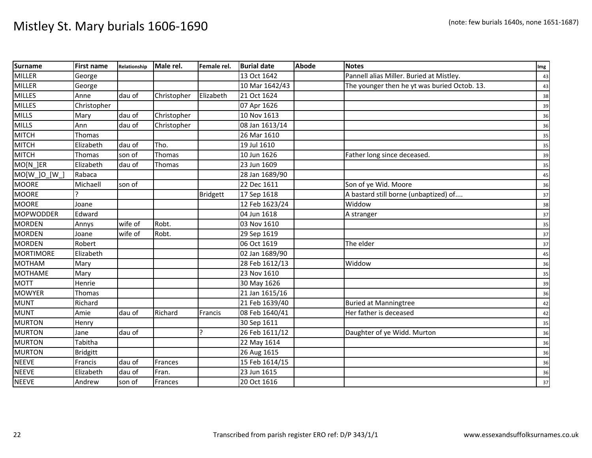| <b>Surname</b> | <b>First name</b> | Relationship | Male rel.   | Female rel.     | <b>Burial date</b> | <b>Abode</b> | <b>Notes</b>                                 | Img |
|----------------|-------------------|--------------|-------------|-----------------|--------------------|--------------|----------------------------------------------|-----|
| <b>MILLER</b>  | George            |              |             |                 | 13 Oct 1642        |              | Pannell alias Miller. Buried at Mistley.     | 43  |
| <b>MILLER</b>  | George            |              |             |                 | 10 Mar 1642/43     |              | The younger then he yt was buried Octob. 13. | 43  |
| <b>MILLES</b>  | Anne              | dau of       | Christopher | Elizabeth       | 21 Oct 1624        |              |                                              | 38  |
| <b>MILLES</b>  | Christopher       |              |             |                 | 07 Apr 1626        |              |                                              | 39  |
| <b>MILLS</b>   | Mary              | dau of       | Christopher |                 | 10 Nov 1613        |              |                                              | 36  |
| <b>MILLS</b>   | Ann               | dau of       | Christopher |                 | 08 Jan 1613/14     |              |                                              | 36  |
| <b>MITCH</b>   | Thomas            |              |             |                 | 26 Mar 1610        |              |                                              | 35  |
| <b>MITCH</b>   | Elizabeth         | dau of       | Tho.        |                 | 19 Jul 1610        |              |                                              | 35  |
| <b>MITCH</b>   | Thomas            | son of       | Thomas      |                 | 10 Jun 1626        |              | Father long since deceased.                  | 39  |
| MO[N_]ER       | Elizabeth         | dau of       | Thomas      |                 | 23 Jun 1609        |              |                                              | 35  |
| MO[W_]O_[W_]   | Rabaca            |              |             |                 | 28 Jan 1689/90     |              |                                              | 45  |
| <b>MOORE</b>   | Michaell          | son of       |             |                 | 22 Dec 1611        |              | Son of ye Wid. Moore                         | 36  |
| <b>MOORE</b>   |                   |              |             | <b>Bridgett</b> | 17 Sep 1618        |              | A bastard still borne (unbaptized) of        | 37  |
| <b>MOORE</b>   | Joane             |              |             |                 | 12 Feb 1623/24     |              | Widdow                                       | 38  |
| MOPWODDER      | Edward            |              |             |                 | 04 Jun 1618        |              | A stranger                                   | 37  |
| <b>MORDEN</b>  | Annys             | wife of      | Robt.       |                 | 03 Nov 1610        |              |                                              | 35  |
| <b>MORDEN</b>  | Joane             | wife of      | Robt.       |                 | 29 Sep 1619        |              |                                              | 37  |
| <b>MORDEN</b>  | Robert            |              |             |                 | 06 Oct 1619        |              | The elder                                    | 37  |
| MORTIMORE      | Elizabeth         |              |             |                 | 02 Jan 1689/90     |              |                                              | 45  |
| <b>MOTHAM</b>  | Mary              |              |             |                 | 28 Feb 1612/13     |              | Widdow                                       | 36  |
| <b>MOTHAME</b> | Mary              |              |             |                 | 23 Nov 1610        |              |                                              | 35  |
| <b>MOTT</b>    | Henrie            |              |             |                 | 30 May 1626        |              |                                              | 39  |
| <b>MOWYER</b>  | Thomas            |              |             |                 | 21 Jan 1615/16     |              |                                              | 36  |
| <b>MUNT</b>    | Richard           |              |             |                 | 21 Feb 1639/40     |              | <b>Buried at Manningtree</b>                 | 42  |
| <b>MUNT</b>    | Amie              | dau of       | Richard     | Francis         | 08 Feb 1640/41     |              | Her father is deceased                       | 42  |
| <b>MURTON</b>  | Henry             |              |             |                 | 30 Sep 1611        |              |                                              | 35  |
| <b>MURTON</b>  | Jane              | dau of       |             |                 | 26 Feb 1611/12     |              | Daughter of ye Widd. Murton                  | 36  |
| <b>MURTON</b>  | Tabitha           |              |             |                 | 22 May 1614        |              |                                              | 36  |
| <b>MURTON</b>  | <b>Bridgitt</b>   |              |             |                 | 26 Aug 1615        |              |                                              | 36  |
| <b>NEEVE</b>   | Francis           | dau of       | Frances     |                 | 15 Feb 1614/15     |              |                                              | 36  |
| <b>NEEVE</b>   | Elizabeth         | dau of       | Fran.       |                 | 23 Jun 1615        |              |                                              | 36  |
| <b>NEEVE</b>   | Andrew            | son of       | Frances     |                 | 20 Oct 1616        |              |                                              | 37  |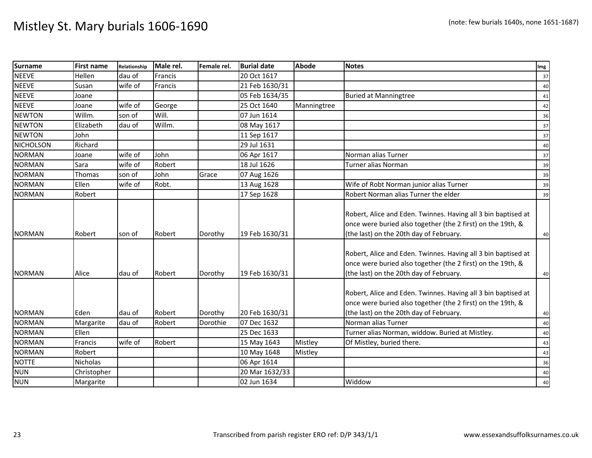| <b>Surname</b>   | <b>First name</b> | Relationship | Male rel. | Female rel. | <b>Burial date</b> | <b>Abode</b> | <b>Notes</b>                                                                                                                                                                                                                                                                                            | Img |
|------------------|-------------------|--------------|-----------|-------------|--------------------|--------------|---------------------------------------------------------------------------------------------------------------------------------------------------------------------------------------------------------------------------------------------------------------------------------------------------------|-----|
| <b>NEEVE</b>     | Hellen            | dau of       | Francis   |             | 20 Oct 1617        |              |                                                                                                                                                                                                                                                                                                         | 37  |
| <b>NEEVE</b>     | Susan             | wife of      | Francis   |             | 21 Feb 1630/31     |              |                                                                                                                                                                                                                                                                                                         | 40  |
| <b>NEEVE</b>     | Joane             |              |           |             | 05 Feb 1634/35     |              | <b>Buried at Manningtree</b>                                                                                                                                                                                                                                                                            | 41  |
| <b>NEEVE</b>     | Joane             | wife of      | George    |             | 25 Oct 1640        | Manningtree  |                                                                                                                                                                                                                                                                                                         | 42  |
| <b>NEWTON</b>    | Willm.            | son of       | Will.     |             | 07 Jun 1614        |              |                                                                                                                                                                                                                                                                                                         | 36  |
| <b>NEWTON</b>    | Elizabeth         | dau of       | Willm.    |             | 08 May 1617        |              |                                                                                                                                                                                                                                                                                                         | 37  |
| <b>NEWTON</b>    | John              |              |           |             | 11 Sep 1617        |              |                                                                                                                                                                                                                                                                                                         | 37  |
| <b>NICHOLSON</b> | Richard           |              |           |             | 29 Jul 1631        |              |                                                                                                                                                                                                                                                                                                         | 40  |
| <b>NORMAN</b>    | Joane             | wife of      | John      |             | 06 Apr 1617        |              | Norman alias Turner                                                                                                                                                                                                                                                                                     | 37  |
| <b>NORMAN</b>    | Sara              | wife of      | Robert    |             | 18 Jul 1626        |              | Turner alias Norman                                                                                                                                                                                                                                                                                     | 39  |
| <b>NORMAN</b>    | Thomas            | son of       | John      | Grace       | 07 Aug 1626        |              |                                                                                                                                                                                                                                                                                                         | 39  |
| <b>NORMAN</b>    | Ellen             | wife of      | Robt.     |             | 13 Aug 1628        |              | Wife of Robt Norman junior alias Turner                                                                                                                                                                                                                                                                 | 39  |
| <b>NORMAN</b>    | Robert            |              |           |             | 17 Sep 1628        |              | Robert Norman alias Turner the elder                                                                                                                                                                                                                                                                    | 39  |
| <b>NORMAN</b>    | Robert            | son of       | Robert    | Dorothy     | 19 Feb 1630/31     |              | Robert, Alice and Eden. Twinnes. Having all 3 bin baptised at<br>once were buried also together (the 2 first) on the 19th, &<br>(the last) on the 20th day of February.<br>Robert, Alice and Eden. Twinnes. Having all 3 bin baptised at<br>once were buried also together (the 2 first) on the 19th, & | 40  |
| <b>NORMAN</b>    | Alice             | dau of       | Robert    | Dorothy     | 19 Feb 1630/31     |              | (the last) on the 20th day of February.                                                                                                                                                                                                                                                                 | 40  |
| <b>NORMAN</b>    | Eden              | dau of       | Robert    | Dorothy     | 20 Feb 1630/31     |              | Robert, Alice and Eden. Twinnes. Having all 3 bin baptised at<br>once were buried also together (the 2 first) on the 19th, &<br>(the last) on the 20th day of February.                                                                                                                                 | 40  |
| <b>NORMAN</b>    | Margarite         | dau of       | Robert    | Dorothie    | 07 Dec 1632        |              | Norman alias Turner                                                                                                                                                                                                                                                                                     | 40  |
| <b>NORMAN</b>    | Ellen             |              |           |             | 25 Dec 1633        |              | Turner alias Norman, widdow. Buried at Mistley.                                                                                                                                                                                                                                                         | 40  |
| <b>NORMAN</b>    | Francis           | wife of      | Robert    |             | 15 May 1643        | Mistley      | Of Mistley, buried there.                                                                                                                                                                                                                                                                               | 43  |
| <b>NORMAN</b>    | Robert            |              |           |             | 10 May 1648        | Mistley      |                                                                                                                                                                                                                                                                                                         | 43  |
| <b>NOTTE</b>     | Nicholas          |              |           |             | 06 Apr 1614        |              |                                                                                                                                                                                                                                                                                                         | 36  |
| <b>NUN</b>       | Christopher       |              |           |             | 20 Mar 1632/33     |              |                                                                                                                                                                                                                                                                                                         | 40  |
| <b>NUN</b>       | Margarite         |              |           |             | 02 Jun 1634        |              | Widdow                                                                                                                                                                                                                                                                                                  | 40  |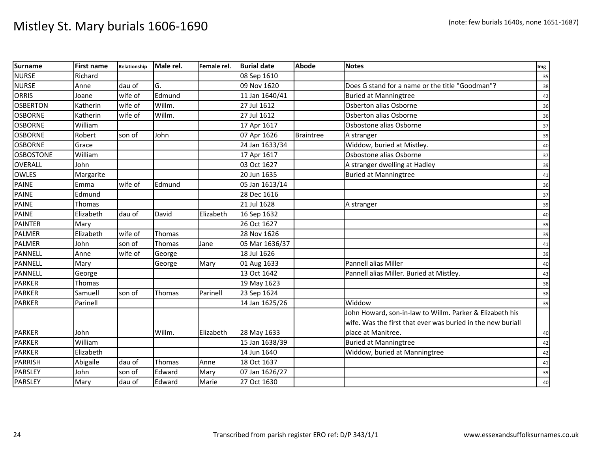| <b>Surname</b>   | <b>First name</b> | Relationship | Male rel. | Female rel. | <b>Burial date</b> | <b>Abode</b>     | <b>Notes</b>                                                | Img |
|------------------|-------------------|--------------|-----------|-------------|--------------------|------------------|-------------------------------------------------------------|-----|
| <b>NURSE</b>     | Richard           |              |           |             | 08 Sep 1610        |                  |                                                             | 35  |
| <b>NURSE</b>     | Anne              | dau of       | G.        |             | 09 Nov 1620        |                  | Does G stand for a name or the title "Goodman"?             | 38  |
| <b>ORRIS</b>     | Joane             | wife of      | Edmund    |             | 11 Jan 1640/41     |                  | <b>Buried at Manningtree</b>                                | 42  |
| <b>OSBERTON</b>  | Katherin          | wife of      | Willm.    |             | 27 Jul 1612        |                  | Osberton alias Osborne                                      | 36  |
| <b>OSBORNE</b>   | Katherin          | wife of      | Willm.    |             | 27 Jul 1612        |                  | Osberton alias Osborne                                      | 36  |
| <b>OSBORNE</b>   | William           |              |           |             | 17 Apr 1617        |                  | Osbostone alias Osborne                                     | 37  |
| <b>OSBORNE</b>   | Robert            | son of       | John      |             | 07 Apr 1626        | <b>Braintree</b> | A stranger                                                  | 39  |
| <b>OSBORNE</b>   | Grace             |              |           |             | 24 Jan 1633/34     |                  | Widdow, buried at Mistley.                                  | 40  |
| <b>OSBOSTONE</b> | William           |              |           |             | 17 Apr 1617        |                  | Osbostone alias Osborne                                     | 37  |
| <b>OVERALL</b>   | John              |              |           |             | 03 Oct 1627        |                  | A stranger dwelling at Hadley                               | 39  |
| OWLES            | Margarite         |              |           |             | 20 Jun 1635        |                  | <b>Buried at Manningtree</b>                                | 41  |
| PAINE            | Emma              | wife of      | Edmund    |             | 05 Jan 1613/14     |                  |                                                             | 36  |
| <b>PAINE</b>     | Edmund            |              |           |             | 28 Dec 1616        |                  |                                                             | 37  |
| <b>PAINE</b>     | Thomas            |              |           |             | 21 Jul 1628        |                  | A stranger                                                  | 39  |
| <b>PAINE</b>     | Elizabeth         | dau of       | David     | Elizabeth   | 16 Sep 1632        |                  |                                                             | 40  |
| <b>PAINTER</b>   | Mary              |              |           |             | 26 Oct 1627        |                  |                                                             | 39  |
| <b>PALMER</b>    | Elizabeth         | wife of      | Thomas    |             | 28 Nov 1626        |                  |                                                             | 39  |
| <b>PALMER</b>    | John              | son of       | Thomas    | Jane        | 05 Mar 1636/37     |                  |                                                             | 41  |
| <b>PANNELL</b>   | Anne              | wife of      | George    |             | 18 Jul 1626        |                  |                                                             | 39  |
| <b>PANNELL</b>   | Mary              |              | George    | Mary        | 01 Aug 1633        |                  | Pannell alias Miller                                        | 40  |
| <b>PANNELL</b>   | George            |              |           |             | 13 Oct 1642        |                  | Pannell alias Miller. Buried at Mistley.                    | 43  |
| <b>PARKER</b>    | Thomas            |              |           |             | 19 May 1623        |                  |                                                             | 38  |
| <b>PARKER</b>    | Samuell           | son of       | Thomas    | Parinell    | 23 Sep 1624        |                  |                                                             | 38  |
| <b>PARKER</b>    | Parinell          |              |           |             | 14 Jan 1625/26     |                  | Widdow                                                      | 39  |
|                  |                   |              |           |             |                    |                  | John Howard, son-in-law to Willm. Parker & Elizabeth his    |     |
|                  |                   |              |           |             |                    |                  | wife. Was the first that ever was buried in the new buriall |     |
| <b>PARKER</b>    | John              |              | Willm.    | Elizabeth   | 28 May 1633        |                  | place at Manitree.                                          | 40  |
| <b>PARKER</b>    | William           |              |           |             | 15 Jan 1638/39     |                  | <b>Buried at Manningtree</b>                                | 42  |
| <b>PARKER</b>    | Elizabeth         |              |           |             | 14 Jun 1640        |                  | Widdow, buried at Manningtree                               | 42  |
| <b>PARRISH</b>   | Abigaile          | dau of       | Thomas    | Anne        | 18 Oct 1637        |                  |                                                             | 41  |
| PARSLEY          | John              | son of       | Edward    | Mary        | 07 Jan 1626/27     |                  |                                                             | 39  |
| <b>PARSLEY</b>   | Mary              | dau of       | Edward    | Marie       | 27 Oct 1630        |                  |                                                             | 40  |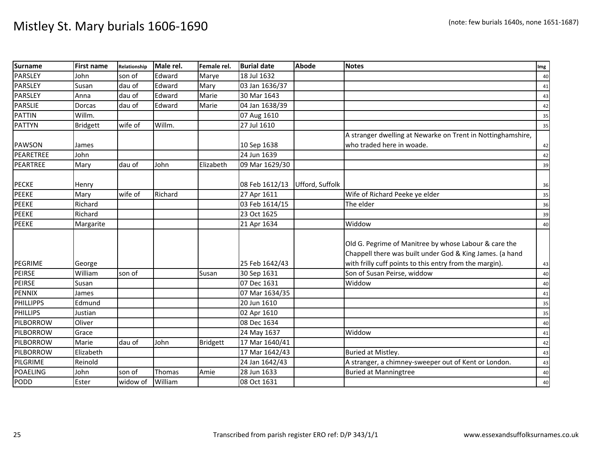| <b>Surname</b>   | <b>First name</b> | Relationship | Male rel. | Female rel.     | <b>Burial date</b> | <b>Abode</b>    | <b>Notes</b>                                                                                                                                                                 | Img |
|------------------|-------------------|--------------|-----------|-----------------|--------------------|-----------------|------------------------------------------------------------------------------------------------------------------------------------------------------------------------------|-----|
| <b>PARSLEY</b>   | John              | son of       | Edward    | Marye           | 18 Jul 1632        |                 |                                                                                                                                                                              | 40  |
| <b>PARSLEY</b>   | Susan             | dau of       | Edward    | Mary            | 03 Jan 1636/37     |                 |                                                                                                                                                                              | 41  |
| <b>PARSLEY</b>   | Anna              | dau of       | Edward    | Marie           | 30 Mar 1643        |                 |                                                                                                                                                                              | 43  |
| <b>PARSLIE</b>   | Dorcas            | dau of       | Edward    | Marie           | 04 Jan 1638/39     |                 |                                                                                                                                                                              | 42  |
| <b>PATTIN</b>    | Willm.            |              |           |                 | 07 Aug 1610        |                 |                                                                                                                                                                              | 35  |
| <b>PATTYN</b>    | <b>Bridgett</b>   | wife of      | Willm.    |                 | 27 Jul 1610        |                 |                                                                                                                                                                              | 35  |
|                  |                   |              |           |                 |                    |                 | A stranger dwelling at Newarke on Trent in Nottinghamshire,                                                                                                                  |     |
| <b>PAWSON</b>    | James             |              |           |                 | 10 Sep 1638        |                 | who traded here in woade.                                                                                                                                                    | 42  |
| PEARETREE        | John              |              |           |                 | 24 Jun 1639        |                 |                                                                                                                                                                              | 42  |
| PEARTREE         | Mary              | dau of       | John      | Elizabeth       | 09 Mar 1629/30     |                 |                                                                                                                                                                              | 39  |
| <b>PECKE</b>     | Henry             |              |           |                 | 08 Feb 1612/13     | Ufford, Suffolk |                                                                                                                                                                              | 36  |
| <b>PEEKE</b>     | Mary              | wife of      | Richard   |                 | 27 Apr 1611        |                 | Wife of Richard Peeke ye elder                                                                                                                                               | 35  |
| <b>PEEKE</b>     | Richard           |              |           |                 | 03 Feb 1614/15     |                 | The elder                                                                                                                                                                    | 36  |
| <b>PEEKE</b>     | Richard           |              |           |                 | 23 Oct 1625        |                 |                                                                                                                                                                              | 39  |
| <b>PEEKE</b>     | Margarite         |              |           |                 | 21 Apr 1634        |                 | Widdow                                                                                                                                                                       | 40  |
| <b>PEGRIME</b>   | George            |              |           |                 | 25 Feb 1642/43     |                 | Old G. Pegrime of Manitree by whose Labour & care the<br>Chappell there was built under God & King James. (a hand<br>with frilly cuff points to this entry from the margin). | 43  |
| <b>PEIRSE</b>    | William           | son of       |           | Susan           | 30 Sep 1631        |                 | Son of Susan Peirse, widdow                                                                                                                                                  | 40  |
| <b>PEIRSE</b>    | Susan             |              |           |                 | 07 Dec 1631        |                 | Widdow                                                                                                                                                                       | 40  |
| PENNIX           | James             |              |           |                 | 07 Mar 1634/35     |                 |                                                                                                                                                                              | 41  |
| <b>PHILLIPPS</b> | Edmund            |              |           |                 | 20 Jun 1610        |                 |                                                                                                                                                                              | 35  |
| PHILLIPS         | Justian           |              |           |                 | 02 Apr 1610        |                 |                                                                                                                                                                              | 35  |
| PILBORROW        | Oliver            |              |           |                 | 08 Dec 1634        |                 |                                                                                                                                                                              | 40  |
| PILBORROW        | Grace             |              |           |                 | 24 May 1637        |                 | Widdow                                                                                                                                                                       | 41  |
| PILBORROW        | Marie             | dau of       | John      | <b>Bridgett</b> | 17 Mar 1640/41     |                 |                                                                                                                                                                              | 42  |
| PILBORROW        | Elizabeth         |              |           |                 | 17 Mar 1642/43     |                 | Buried at Mistley.                                                                                                                                                           | 43  |
| PILGRIME         | Reinold           |              |           |                 | 24 Jan 1642/43     |                 | A stranger, a chimney-sweeper out of Kent or London.                                                                                                                         | 43  |
| <b>POAELING</b>  | John              | son of       | Thomas    | Amie            | 28 Jun 1633        |                 | <b>Buried at Manningtree</b>                                                                                                                                                 | 40  |
| PODD             | Ester             | widow of     | William   |                 | 08 Oct 1631        |                 |                                                                                                                                                                              | 40  |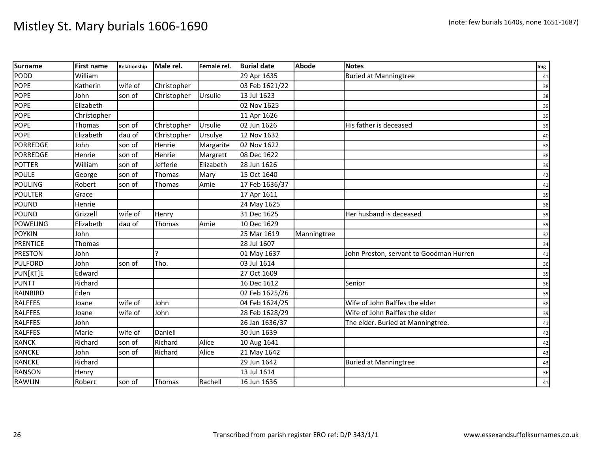| <b>Surname</b>  | <b>First name</b> | Relationship | Male rel.   | Female rel. | <b>Burial date</b> | Abode       | <b>Notes</b>                            | Img |
|-----------------|-------------------|--------------|-------------|-------------|--------------------|-------------|-----------------------------------------|-----|
| PODD            | William           |              |             |             | 29 Apr 1635        |             | <b>Buried at Manningtree</b>            | 41  |
| <b>POPE</b>     | Katherin          | wife of      | Christopher |             | 03 Feb 1621/22     |             |                                         | 38  |
| <b>POPE</b>     | John              | son of       | Christopher | Ursulie     | 13 Jul 1623        |             |                                         | 38  |
| <b>POPE</b>     | Elizabeth         |              |             |             | 02 Nov 1625        |             |                                         | 39  |
| <b>POPE</b>     | Christopher       |              |             |             | 11 Apr 1626        |             |                                         | 39  |
| <b>POPE</b>     | Thomas            | son of       | Christopher | Ursulie     | 02 Jun 1626        |             | His father is deceased                  | 39  |
| <b>POPE</b>     | Elizabeth         | dau of       | Christopher | Ursulye     | 12 Nov 1632        |             |                                         | 40  |
| <b>PORREDGE</b> | John              | son of       | Henrie      | Margarite   | 02 Nov 1622        |             |                                         | 38  |
| PORREDGE        | Henrie            | son of       | Henrie      | Margrett    | 08 Dec 1622        |             |                                         | 38  |
| <b>POTTER</b>   | William           | son of       | Jefferie    | Elizabeth   | 28 Jun 1626        |             |                                         | 39  |
| <b>POULE</b>    | George            | son of       | Thomas      | Mary        | 15 Oct 1640        |             |                                         | 42  |
| POULING         | Robert            | son of       | Thomas      | Amie        | 17 Feb 1636/37     |             |                                         | 41  |
| <b>POULTER</b>  | Grace             |              |             |             | 17 Apr 1611        |             |                                         | 35  |
| POUND           | Henrie            |              |             |             | 24 May 1625        |             |                                         | 38  |
| POUND           | Grizzell          | wife of      | Henry       |             | 31 Dec 1625        |             | Her husband is deceased                 | 39  |
| <b>POWELING</b> | Elizabeth         | dau of       | Thomas      | Amie        | 10 Dec 1629        |             |                                         | 39  |
| <b>POYKIN</b>   | John              |              |             |             | 25 Mar 1619        | Manningtree |                                         | 37  |
| <b>PRENTICE</b> | Thomas            |              |             |             | 28 Jul 1607        |             |                                         | 34  |
| <b>PRESTON</b>  | John              |              | C           |             | 01 May 1637        |             | John Preston, servant to Goodman Hurren | 41  |
| <b>PULFORD</b>  | John              | son of       | Tho.        |             | 03 Jul 1614        |             |                                         | 36  |
| PUN[KT]E        | Edward            |              |             |             | 27 Oct 1609        |             |                                         | 35  |
| <b>PUNTT</b>    | Richard           |              |             |             | 16 Dec 1612        |             | Senior                                  | 36  |
| RAINBIRD        | Eden              |              |             |             | 02 Feb 1625/26     |             |                                         | 39  |
| <b>RALFFES</b>  | Joane             | wife of      | John        |             | 04 Feb 1624/25     |             | Wife of John Ralffes the elder          | 38  |
| <b>RALFFES</b>  | Joane             | wife of      | John        |             | 28 Feb 1628/29     |             | Wife of John Ralffes the elder          | 39  |
| <b>RALFFES</b>  | John              |              |             |             | 26 Jan 1636/37     |             | The elder. Buried at Manningtree.       | 41  |
| <b>RALFFES</b>  | Marie             | wife of      | Daniell     |             | 30 Jun 1639        |             |                                         | 42  |
| <b>RANCK</b>    | Richard           | son of       | Richard     | Alice       | 10 Aug 1641        |             |                                         | 42  |
| <b>RANCKE</b>   | John              | son of       | Richard     | Alice       | 21 May 1642        |             |                                         | 43  |
| <b>RANCKE</b>   | Richard           |              |             |             | 29 Jun 1642        |             | <b>Buried at Manningtree</b>            | 43  |
| <b>RANSON</b>   | Henry             |              |             |             | 13 Jul 1614        |             |                                         | 36  |
| RAWLIN          | Robert            | son of       | Thomas      | Rachell     | 16 Jun 1636        |             |                                         | 41  |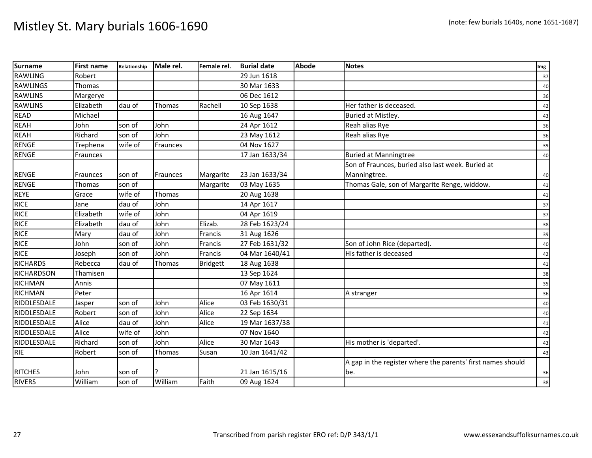| Surname           | <b>First name</b> | Relationship | Male rel.       | Female rel.     | <b>Burial date</b> | <b>Abode</b> | <b>Notes</b>                                                | Img |
|-------------------|-------------------|--------------|-----------------|-----------------|--------------------|--------------|-------------------------------------------------------------|-----|
| <b>RAWLING</b>    | Robert            |              |                 |                 | 29 Jun 1618        |              |                                                             | 37  |
| <b>RAWLINGS</b>   | Thomas            |              |                 |                 | 30 Mar 1633        |              |                                                             | 40  |
| <b>RAWLINS</b>    | Margerye          |              |                 |                 | 06 Dec 1612        |              |                                                             | 36  |
| <b>RAWLINS</b>    | Elizabeth         | dau of       | Thomas          | Rachell         | 10 Sep 1638        |              | Her father is deceased.                                     | 42  |
| <b>READ</b>       | Michael           |              |                 |                 | 16 Aug 1647        |              | Buried at Mistley.                                          | 43  |
| <b>REAH</b>       | John              | son of       | John            |                 | 24 Apr 1612        |              | Reah alias Rye                                              | 36  |
| <b>REAH</b>       | Richard           | son of       | John            |                 | 23 May 1612        |              | Reah alias Rye                                              | 36  |
| <b>RENGE</b>      | Trephena          | wife of      | <b>Fraunces</b> |                 | 04 Nov 1627        |              |                                                             | 39  |
| <b>RENGE</b>      | Fraunces          |              |                 |                 | 17 Jan 1633/34     |              | <b>Buried at Manningtree</b>                                | 40  |
|                   |                   |              |                 |                 |                    |              | Son of Fraunces, buried also last week. Buried at           |     |
| RENGE             | Fraunces          | son of       | Fraunces        | Margarite       | 23 Jan 1633/34     |              | Manningtree.                                                | 40  |
| <b>RENGE</b>      | Thomas            | son of       |                 | Margarite       | 03 May 1635        |              | Thomas Gale, son of Margarite Renge, widdow.                | 41  |
| REYE              | Grace             | wife of      | Thomas          |                 | 20 Aug 1638        |              |                                                             | 41  |
| <b>RICE</b>       | Jane              | dau of       | John            |                 | 14 Apr 1617        |              |                                                             | 37  |
| <b>RICE</b>       | Elizabeth         | wife of      | John            |                 | 04 Apr 1619        |              |                                                             | 37  |
| <b>RICE</b>       | Elizabeth         | dau of       | John            | Elizab.         | 28 Feb 1623/24     |              |                                                             | 38  |
| <b>RICE</b>       | Mary              | dau of       | John            | Francis         | 31 Aug 1626        |              |                                                             | 39  |
| <b>RICE</b>       | John              | son of       | John            | Francis         | 27 Feb 1631/32     |              | Son of John Rice (departed).                                | 40  |
| <b>RICE</b>       | Joseph            | son of       | John            | Francis         | 04 Mar 1640/41     |              | His father is deceased                                      | 42  |
| <b>RICHARDS</b>   | Rebecca           | dau of       | Thomas          | <b>Bridgett</b> | 18 Aug 1638        |              |                                                             | 41  |
| <b>RICHARDSON</b> | Thamisen          |              |                 |                 | 13 Sep 1624        |              |                                                             | 38  |
| <b>RICHMAN</b>    | Annis             |              |                 |                 | 07 May 1611        |              |                                                             | 35  |
| <b>RICHMAN</b>    | Peter             |              |                 |                 | 16 Apr 1614        |              | A stranger                                                  | 36  |
| RIDDLESDALE       | Jasper            | son of       | John            | Alice           | 03 Feb 1630/31     |              |                                                             | 40  |
| RIDDLESDALE       | Robert            | son of       | John            | Alice           | 22 Sep 1634        |              |                                                             | 40  |
| RIDDLESDALE       | Alice             | dau of       | John            | Alice           | 19 Mar 1637/38     |              |                                                             | 41  |
| RIDDLESDALE       | Alice             | wife of      | John            |                 | 07 Nov 1640        |              |                                                             | 42  |
| RIDDLESDALE       | Richard           | son of       | John            | Alice           | 30 Mar 1643        |              | His mother is 'departed'.                                   | 43  |
| <b>RIE</b>        | Robert            | son of       | <b>Thomas</b>   | Susan           | 10 Jan 1641/42     |              |                                                             | 43  |
|                   |                   |              |                 |                 |                    |              | A gap in the register where the parents' first names should |     |
| <b>RITCHES</b>    | John              | son of       | ?               |                 | 21 Jan 1615/16     |              | be.                                                         | 36  |
| <b>RIVERS</b>     | William           | son of       | William         | Faith           | 09 Aug 1624        |              |                                                             | 38  |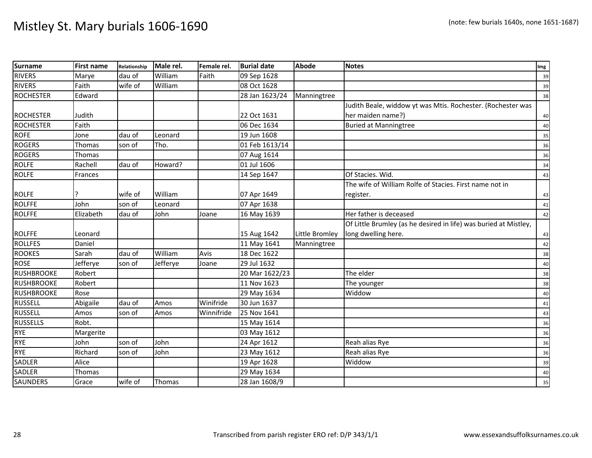| Surname           | <b>First name</b> | Relationship | Male rel. | Female rel. | <b>Burial date</b> | <b>Abode</b>   | <b>Notes</b>                                                     | Img |
|-------------------|-------------------|--------------|-----------|-------------|--------------------|----------------|------------------------------------------------------------------|-----|
| <b>RIVERS</b>     | Marye             | dau of       | William   | Faith       | 09 Sep 1628        |                |                                                                  | 39  |
| <b>RIVERS</b>     | Faith             | wife of      | William   |             | 08 Oct 1628        |                |                                                                  | 39  |
| <b>ROCHESTER</b>  | Edward            |              |           |             | 28 Jan 1623/24     | Manningtree    |                                                                  | 38  |
|                   |                   |              |           |             |                    |                | Judith Beale, widdow yt was Mtis. Rochester. (Rochester was      |     |
| <b>ROCHESTER</b>  | Judith            |              |           |             | 22 Oct 1631        |                | her maiden name?)                                                | 40  |
| <b>ROCHESTER</b>  | Faith             |              |           |             | 06 Dec 1634        |                | <b>Buried at Manningtree</b>                                     | 40  |
| <b>ROFE</b>       | Jone              | dau of       | Leonard   |             | 19 Jun 1608        |                |                                                                  | 35  |
| <b>ROGERS</b>     | Thomas            | son of       | Tho.      |             | 01 Feb 1613/14     |                |                                                                  | 36  |
| <b>ROGERS</b>     | Thomas            |              |           |             | 07 Aug 1614        |                |                                                                  | 36  |
| <b>ROLFE</b>      | Rachell           | dau of       | Howard?   |             | 01 Jul 1606        |                |                                                                  | 34  |
| <b>ROLFE</b>      | Frances           |              |           |             | 14 Sep 1647        |                | Of Stacies. Wid.                                                 | 43  |
|                   |                   |              |           |             |                    |                | The wife of William Rolfe of Stacies. First name not in          |     |
| <b>ROLFE</b>      |                   | wife of      | William   |             | 07 Apr 1649        |                | register.                                                        | 43  |
| <b>ROLFFE</b>     | John              | son of       | Leonard   |             | 07 Apr 1638        |                |                                                                  | 41  |
| <b>ROLFFE</b>     | Elizabeth         | dau of       | John      | Joane       | 16 May 1639        |                | Her father is deceased                                           | 42  |
|                   |                   |              |           |             |                    |                | Of Little Brumley (as he desired in life) was buried at Mistley, |     |
| <b>ROLFFE</b>     | Leonard           |              |           |             | 15 Aug 1642        | Little Bromley | long dwelling here.                                              | 43  |
| <b>ROLLFES</b>    | Daniel            |              |           |             | 11 May 1641        | Manningtree    |                                                                  | 42  |
| <b>ROOKES</b>     | Sarah             | dau of       | William   | Avis        | 18 Dec 1622        |                |                                                                  | 38  |
| <b>ROSE</b>       | Jefferye          | son of       | Jefferye  | Joane       | 29 Jul 1632        |                |                                                                  | 40  |
| <b>RUSHBROOKE</b> | Robert            |              |           |             | 20 Mar 1622/23     |                | The elder                                                        | 38  |
| <b>RUSHBROOKE</b> | Robert            |              |           |             | 11 Nov 1623        |                | The younger                                                      | 38  |
| <b>RUSHBROOKE</b> | Rose              |              |           |             | 29 May 1634        |                | Widdow                                                           | 40  |
| <b>RUSSELL</b>    | Abigaile          | dau of       | Amos      | Winifride   | 30 Jun 1637        |                |                                                                  | 41  |
| <b>RUSSELL</b>    | Amos              | son of       | Amos      | Winnifride  | 25 Nov 1641        |                |                                                                  | 43  |
| <b>RUSSELLS</b>   | Robt.             |              |           |             | 15 May 1614        |                |                                                                  | 36  |
| <b>RYE</b>        | Margerite         |              |           |             | 03 May 1612        |                |                                                                  | 36  |
| <b>RYE</b>        | John              | son of       | John      |             | 24 Apr 1612        |                | Reah alias Rye                                                   | 36  |
| <b>RYE</b>        | Richard           | son of       | John      |             | 23 May 1612        |                | Reah alias Rye                                                   | 36  |
| SADLER            | Alice             |              |           |             | 19 Apr 1628        |                | Widdow                                                           | 39  |
| SADLER            | Thomas            |              |           |             | 29 May 1634        |                |                                                                  | 40  |
| <b>SAUNDERS</b>   | Grace             | wife of      | Thomas    |             | 28 Jan 1608/9      |                |                                                                  | 35  |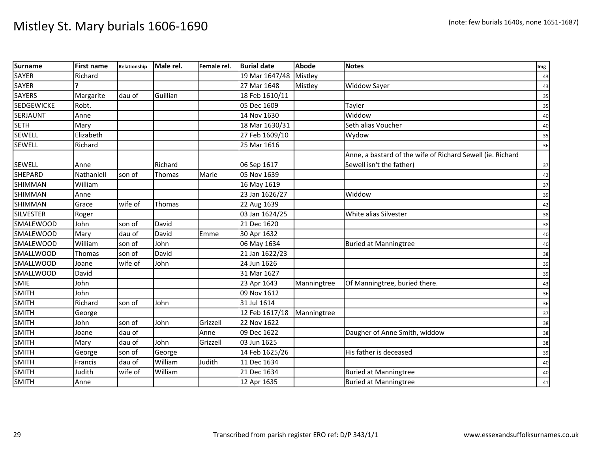| <b>Surname</b>    | <b>First name</b> | Relationship | Male rel. | Female rel. | <b>Burial date</b> | Abode       | <b>Notes</b>                                               | Img |
|-------------------|-------------------|--------------|-----------|-------------|--------------------|-------------|------------------------------------------------------------|-----|
| <b>SAYER</b>      | Richard           |              |           |             | 19 Mar 1647/48     | Mistley     |                                                            | 43  |
| <b>SAYER</b>      |                   |              |           |             | 27 Mar 1648        | Mistley     | Widdow Sayer                                               | 43  |
| <b>SAYERS</b>     | Margarite         | dau of       | Guillian  |             | 18 Feb 1610/11     |             |                                                            | 35  |
| <b>SEDGEWICKE</b> | Robt.             |              |           |             | 05 Dec 1609        |             | Tayler                                                     | 35  |
| <b>SERJAUNT</b>   | Anne              |              |           |             | 14 Nov 1630        |             | Widdow                                                     | 40  |
| <b>SETH</b>       | Mary              |              |           |             | 18 Mar 1630/31     |             | Seth alias Voucher                                         | 40  |
| <b>SEWELL</b>     | Elizabeth         |              |           |             | 27 Feb 1609/10     |             | Wydow                                                      | 35  |
| <b>SEWELL</b>     | Richard           |              |           |             | 25 Mar 1616        |             |                                                            | 36  |
|                   |                   |              |           |             |                    |             | Anne, a bastard of the wife of Richard Sewell (ie. Richard |     |
| SEWELL            | Anne              |              | Richard   |             | 06 Sep 1617        |             | Sewell isn't the father)                                   | 37  |
| <b>SHEPARD</b>    | Nathaniell        | son of       | Thomas    | Marie       | 05 Nov 1639        |             |                                                            | 42  |
| <b>SHIMMAN</b>    | William           |              |           |             | 16 May 1619        |             |                                                            | 37  |
| SHIMMAN           | Anne              |              |           |             | 23 Jan 1626/27     |             | Widdow                                                     | 39  |
| <b>SHIMMAN</b>    | Grace             | wife of      | Thomas    |             | 22 Aug 1639        |             |                                                            | 42  |
| <b>SILVESTER</b>  | Roger             |              |           |             | 03 Jan 1624/25     |             | White alias Silvester                                      | 38  |
| <b>SMALEWOOD</b>  | John              | son of       | David     |             | 21 Dec 1620        |             |                                                            | 38  |
| <b>SMALEWOOD</b>  | Mary              | dau of       | David     | Emme        | 30 Apr 1632        |             |                                                            | 40  |
| <b>SMALEWOOD</b>  | William           | son of       | John      |             | 06 May 1634        |             | <b>Buried at Manningtree</b>                               | 40  |
| <b>SMALLWOOD</b>  | Thomas            | son of       | David     |             | 21 Jan 1622/23     |             |                                                            | 38  |
| <b>SMALLWOOD</b>  | Joane             | wife of      | John      |             | 24 Jun 1626        |             |                                                            | 39  |
| <b>SMALLWOOD</b>  | David             |              |           |             | 31 Mar 1627        |             |                                                            | 39  |
| <b>SMIE</b>       | John              |              |           |             | 23 Apr 1643        | Manningtree | Of Manningtree, buried there.                              | 43  |
| <b>SMITH</b>      | John              |              |           |             | 09 Nov 1612        |             |                                                            | 36  |
| <b>SMITH</b>      | Richard           | son of       | John      |             | 31 Jul 1614        |             |                                                            | 36  |
| <b>SMITH</b>      | George            |              |           |             | 12 Feb 1617/18     | Manningtree |                                                            | 37  |
| <b>SMITH</b>      | John              | son of       | John      | Grizzell    | 22 Nov 1622        |             |                                                            | 38  |
| <b>SMITH</b>      | Joane             | dau of       |           | Anne        | 09 Dec 1622        |             | Daugher of Anne Smith, widdow                              | 38  |
| <b>SMITH</b>      | Mary              | dau of       | John      | Grizzell    | 03 Jun 1625        |             |                                                            | 38  |
| <b>SMITH</b>      | George            | son of       | George    |             | 14 Feb 1625/26     |             | His father is deceased                                     | 39  |
| <b>SMITH</b>      | Francis           | dau of       | William   | Judith      | 11 Dec 1634        |             |                                                            | 40  |
| <b>SMITH</b>      | Judith            | wife of      | William   |             | 21 Dec 1634        |             | <b>Buried at Manningtree</b>                               | 40  |
| <b>SMITH</b>      | Anne              |              |           |             | 12 Apr 1635        |             | <b>Buried at Manningtree</b>                               | 41  |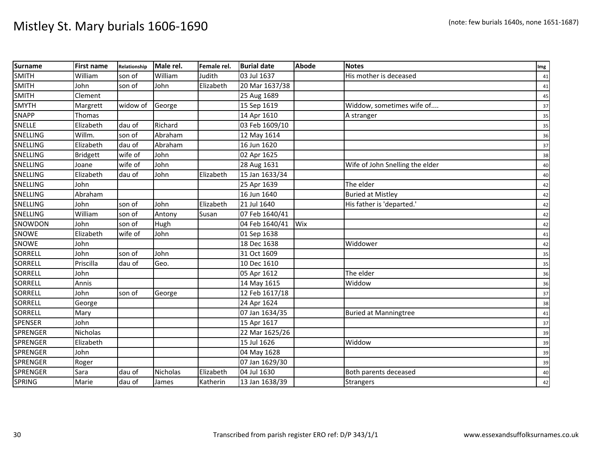| <b>Surname</b>  | <b>First name</b> | Relationship | Male rel.       | Female rel. | <b>Burial date</b> | Abode | <b>Notes</b>                    | Img |
|-----------------|-------------------|--------------|-----------------|-------------|--------------------|-------|---------------------------------|-----|
| <b>SMITH</b>    | William           | son of       | William         | Judith      | 03 Jul 1637        |       | His mother is deceased          | 41  |
| <b>SMITH</b>    | John              | son of       | John            | Elizabeth   | 20 Mar 1637/38     |       |                                 | 41  |
| <b>SMITH</b>    | Clement           |              |                 |             | 25 Aug 1689        |       |                                 | 45  |
| <b>SMYTH</b>    | Margrett          | widow of     | George          |             | 15 Sep 1619        |       | Widdow, sometimes wife of       | 37  |
| <b>SNAPP</b>    | Thomas            |              |                 |             | 14 Apr 1610        |       | A stranger                      | 35  |
| <b>SNELLE</b>   | Elizabeth         | dau of       | Richard         |             | 03 Feb 1609/10     |       |                                 | 35  |
| SNELLING        | Willm.            | son of       | Abraham         |             | 12 May 1614        |       |                                 | 36  |
| SNELLING        | Elizabeth         | dau of       | Abraham         |             | 16 Jun 1620        |       |                                 | 37  |
| <b>SNELLING</b> | <b>Bridgett</b>   | wife of      | John            |             | 02 Apr 1625        |       |                                 | 38  |
| SNELLING        | Joane             | wife of      | John            |             | 28 Aug 1631        |       | Wife of John Snelling the elder | 40  |
| SNELLING        | Elizabeth         | dau of       | John            | Elizabeth   | 15 Jan 1633/34     |       |                                 | 40  |
| SNELLING        | John              |              |                 |             | 25 Apr 1639        |       | The elder                       | 42  |
| SNELLING        | Abraham           |              |                 |             | 16 Jun 1640        |       | <b>Buried at Mistley</b>        | 42  |
| SNELLING        | John              | son of       | John            | Elizabeth   | 21 Jul 1640        |       | His father is 'departed.'       | 42  |
| SNELLING        | William           | son of       | Antony          | Susan       | 07 Feb 1640/41     |       |                                 | 42  |
| SNOWDON         | John              | son of       | Hugh            |             | 04 Feb 1640/41     | Wix   |                                 | 42  |
| <b>SNOWE</b>    | Elizabeth         | wife of      | John            |             | 01 Sep 1638        |       |                                 | 41  |
| <b>SNOWE</b>    | John              |              |                 |             | 18 Dec 1638        |       | Widdower                        | 42  |
| SORRELL         | John              | son of       | John            |             | 31 Oct 1609        |       |                                 | 35  |
| SORRELL         | Priscilla         | dau of       | Geo.            |             | 10 Dec 1610        |       |                                 | 35  |
| <b>SORRELL</b>  | John              |              |                 |             | 05 Apr 1612        |       | The elder                       | 36  |
| SORRELL         | Annis             |              |                 |             | 14 May 1615        |       | Widdow                          | 36  |
| SORRELL         | John              | son of       | George          |             | 12 Feb 1617/18     |       |                                 | 37  |
| <b>SORRELL</b>  | George            |              |                 |             | 24 Apr 1624        |       |                                 | 38  |
| <b>SORRELL</b>  | Mary              |              |                 |             | 07 Jan 1634/35     |       | <b>Buried at Manningtree</b>    | 41  |
| <b>SPENSER</b>  | John              |              |                 |             | 15 Apr 1617        |       |                                 | 37  |
| <b>SPRENGER</b> | <b>Nicholas</b>   |              |                 |             | 22 Mar 1625/26     |       |                                 | 39  |
| <b>SPRENGER</b> | Elizabeth         |              |                 |             | 15 Jul 1626        |       | Widdow                          | 39  |
| <b>SPRENGER</b> | John              |              |                 |             | 04 May 1628        |       |                                 | 39  |
| <b>SPRENGER</b> | Roger             |              |                 |             | 07 Jan 1629/30     |       |                                 | 39  |
| <b>SPRENGER</b> | Sara              | dau of       | <b>Nicholas</b> | Elizabeth   | 04 Jul 1630        |       | Both parents deceased           | 40  |
| SPRING          | Marie             | dau of       | James           | Katherin    | 13 Jan 1638/39     |       | Strangers                       | 42  |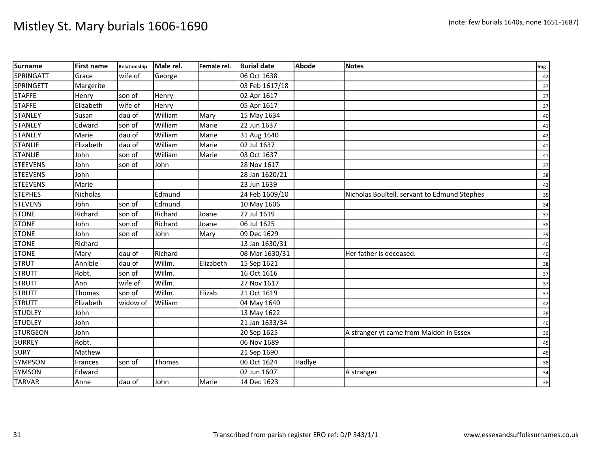| <b>Surname</b>   | <b>First name</b> | Relationship | Male rel. | Female rel. | <b>Burial date</b> | <b>Abode</b> | <b>Notes</b>                                 | Img |
|------------------|-------------------|--------------|-----------|-------------|--------------------|--------------|----------------------------------------------|-----|
| SPRINGATT        | Grace             | wife of      | George    |             | 06 Oct 1638        |              |                                              | 42  |
| <b>SPRINGETT</b> | Margerite         |              |           |             | 03 Feb 1617/18     |              |                                              | 37  |
| <b>STAFFE</b>    | Henry             | son of       | Henry     |             | 02 Apr 1617        |              |                                              | 37  |
| <b>STAFFE</b>    | Elizabeth         | wife of      | Henry     |             | 05 Apr 1617        |              |                                              | 37  |
| <b>STANLEY</b>   | Susan             | dau of       | William   | Mary        | 15 May 1634        |              |                                              | 40  |
| <b>STANLEY</b>   | Edward            | son of       | William   | Marie       | 22 Jun 1637        |              |                                              | 41  |
| <b>STANLEY</b>   | Marie             | dau of       | William   | Marie       | 31 Aug 1640        |              |                                              | 42  |
| <b>STANLIE</b>   | Elizabeth         | dau of       | William   | Marie       | 02 Jul 1637        |              |                                              | 41  |
| <b>STANLIE</b>   | John              | son of       | William   | Marie       | 03 Oct 1637        |              |                                              | 41  |
| <b>STEEVENS</b>  | John              | son of       | John      |             | 28 Nov 1617        |              |                                              | 37  |
| <b>STEEVENS</b>  | John              |              |           |             | 28 Jan 1620/21     |              |                                              | 38  |
| <b>STEEVENS</b>  | Marie             |              |           |             | 23 Jun 1639        |              |                                              | 42  |
| <b>STEPHES</b>   | Nicholas          |              | Edmund    |             | 24 Feb 1609/10     |              | Nicholas Boultell, servant to Edmund Stephes | 35  |
| <b>STEVENS</b>   | John              | son of       | Edmund    |             | 10 May 1606        |              |                                              | 34  |
| <b>STONE</b>     | Richard           | son of       | Richard   | Joane       | 27 Jul 1619        |              |                                              | 37  |
| <b>STONE</b>     | John              | son of       | Richard   | Joane       | 06 Jul 1625        |              |                                              | 38  |
| <b>STONE</b>     | John              | son of       | John      | Mary        | 09 Dec 1629        |              |                                              | 39  |
| <b>STONE</b>     | Richard           |              |           |             | 13 Jan 1630/31     |              |                                              | 40  |
| <b>STONE</b>     | Mary              | dau of       | Richard   |             | 08 Mar 1630/31     |              | Her father is deceased.                      | 40  |
| <b>STRUT</b>     | Annible           | dau of       | Willm.    | Elizabeth   | 15 Sep 1621        |              |                                              | 38  |
| <b>STRUTT</b>    | Robt.             | son of       | Willm.    |             | 16 Oct 1616        |              |                                              | 37  |
| <b>STRUTT</b>    | Ann               | wife of      | Willm.    |             | 27 Nov 1617        |              |                                              | 37  |
| <b>STRUTT</b>    | Thomas            | son of       | Willm.    | Elizab.     | 21 Oct 1619        |              |                                              | 37  |
| <b>STRUTT</b>    | Elizabeth         | widow of     | William   |             | 04 May 1640        |              |                                              | 42  |
| <b>STUDLEY</b>   | John              |              |           |             | 13 May 1622        |              |                                              | 38  |
| <b>STUDLEY</b>   | John              |              |           |             | 21 Jan 1633/34     |              |                                              | 40  |
| <b>STURGEON</b>  | John              |              |           |             | 20 Sep 1625        |              | A stranger yt came from Maldon in Essex      | 39  |
| <b>SURREY</b>    | Robt.             |              |           |             | 06 Nov 1689        |              |                                              | 45  |
| <b>SURY</b>      | Mathew            |              |           |             | 21 Sep 1690        |              |                                              | 45  |
| <b>SYMPSON</b>   | Frances           | son of       | Thomas    |             | 06 Oct 1624        | Hadlye       |                                              | 38  |
| <b>SYMSON</b>    | Edward            |              |           |             | 02 Jun 1607        |              | A stranger                                   | 34  |
| <b>TARVAR</b>    | Anne              | dau of       | John      | Marie       | 14 Dec 1623        |              |                                              | 38  |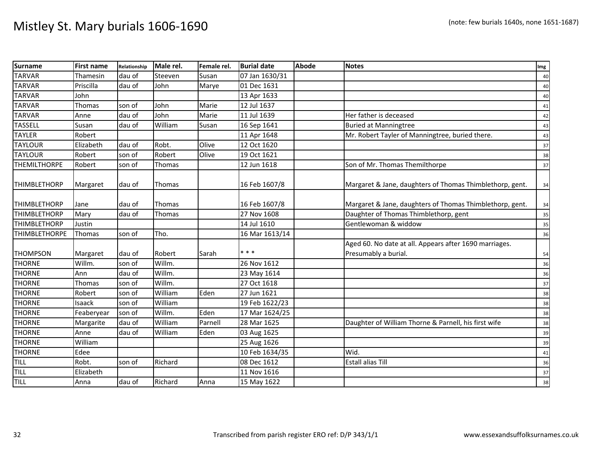| <b>Surname</b>       | <b>First name</b> | Relationship | Male rel. | Female rel. | <b>Burial date</b> | Abode | <b>Notes</b>                                                                   | Img |
|----------------------|-------------------|--------------|-----------|-------------|--------------------|-------|--------------------------------------------------------------------------------|-----|
| <b>TARVAR</b>        | Thamesin          | dau of       | Steeven   | Susan       | 07 Jan 1630/31     |       |                                                                                | 40  |
| <b>TARVAR</b>        | Priscilla         | dau of       | John      | Marye       | 01 Dec 1631        |       |                                                                                | 40  |
| <b>TARVAR</b>        | John              |              |           |             | 13 Apr 1633        |       |                                                                                | 40  |
| <b>TARVAR</b>        | <b>Thomas</b>     | son of       | John      | Marie       | 12 Jul 1637        |       |                                                                                | 41  |
| <b>TARVAR</b>        | Anne              | dau of       | John      | Marie       | 11 Jul 1639        |       | Her father is deceased                                                         | 42  |
| <b>TASSELL</b>       | Susan             | dau of       | William   | Susan       | 16 Sep 1641        |       | <b>Buried at Manningtree</b>                                                   | 43  |
| <b>TAYLER</b>        | Robert            |              |           |             | 11 Apr 1648        |       | Mr. Robert Tayler of Manningtree, buried there.                                | 43  |
| <b>TAYLOUR</b>       | Elizabeth         | dau of       | Robt.     | Olive       | 12 Oct 1620        |       |                                                                                | 37  |
| <b>TAYLOUR</b>       | Robert            | son of       | Robert    | Olive       | 19 Oct 1621        |       |                                                                                | 38  |
| <b>THEMILTHORPE</b>  | Robert            | son of       | Thomas    |             | 12 Jun 1618        |       | Son of Mr. Thomas Themilthorpe                                                 | 37  |
| <b>THIMBLETHORP</b>  | Margaret          | dau of       | Thomas    |             | 16 Feb 1607/8      |       | Margaret & Jane, daughters of Thomas Thimblethorp, gent.                       | 34  |
| <b>THIMBLETHORP</b>  | Jane              | dau of       | Thomas    |             | 16 Feb 1607/8      |       | Margaret & Jane, daughters of Thomas Thimblethorp, gent.                       | 34  |
| <b>THIMBLETHORP</b>  | Mary              | dau of       | Thomas    |             | 27 Nov 1608        |       | Daughter of Thomas Thimblethorp, gent                                          | 35  |
| <b>THIMBLETHORP</b>  | Justin            |              |           |             | 14 Jul 1610        |       | Gentlewoman & widdow                                                           | 35  |
| <b>THIMBLETHORPE</b> | Thomas            | son of       | Tho.      |             | 16 Mar 1613/14     |       |                                                                                | 36  |
| <b>THOMPSON</b>      | Margaret          | dau of       | Robert    | Sarah       | * * *              |       | Aged 60. No date at all. Appears after 1690 marriages.<br>Presumably a burial. | 54  |
| <b>THORNE</b>        | Willm.            | son of       | Willm.    |             | 26 Nov 1612        |       |                                                                                | 36  |
| <b>THORNE</b>        | Ann               | dau of       | Willm.    |             | 23 May 1614        |       |                                                                                | 36  |
| <b>THORNE</b>        | Thomas            | son of       | Willm.    |             | 27 Oct 1618        |       |                                                                                | 37  |
| <b>THORNE</b>        | Robert            | son of       | William   | Eden        | 27 Jun 1621        |       |                                                                                | 38  |
| <b>THORNE</b>        | <b>Isaack</b>     | son of       | William   |             | 19 Feb 1622/23     |       |                                                                                | 38  |
| <b>THORNE</b>        | Feaberyear        | son of       | Willm.    | Eden        | 17 Mar 1624/25     |       |                                                                                | 38  |
| <b>THORNE</b>        | Margarite         | dau of       | William   | Parnell     | 28 Mar 1625        |       | Daughter of William Thorne & Parnell, his first wife                           | 38  |
| <b>THORNE</b>        | Anne              | dau of       | William   | Eden        | 03 Aug 1625        |       |                                                                                | 39  |
| <b>THORNE</b>        | William           |              |           |             | 25 Aug 1626        |       |                                                                                | 39  |
| <b>THORNE</b>        | Edee              |              |           |             | 10 Feb 1634/35     |       | Wid.                                                                           | 41  |
| TILL                 | Robt.             | son of       | Richard   |             | 08 Dec 1612        |       | <b>Estall alias Till</b>                                                       | 36  |
| <b>TILL</b>          | Elizabeth         |              |           |             | 11 Nov 1616        |       |                                                                                | 37  |
| TILL                 | Anna              | dau of       | Richard   | Anna        | 15 May 1622        |       |                                                                                | 38  |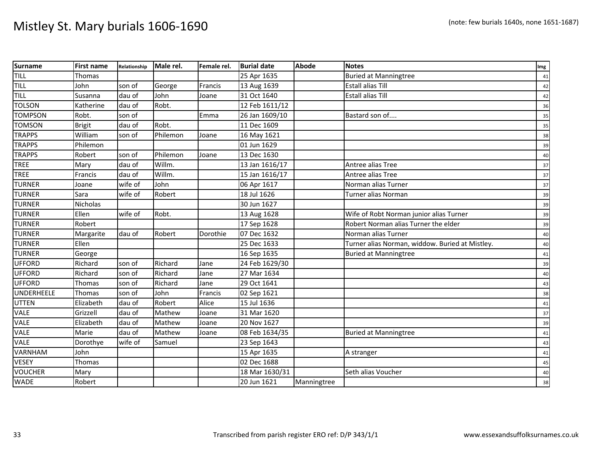| <b>Surname</b> | <b>First name</b> | Relationship | Male rel. | Female rel. | <b>Burial date</b> | <b>Abode</b> | <b>Notes</b>                                    | Img |
|----------------|-------------------|--------------|-----------|-------------|--------------------|--------------|-------------------------------------------------|-----|
| <b>TILL</b>    | Thomas            |              |           |             | 25 Apr 1635        |              | <b>Buried at Manningtree</b>                    | 41  |
| <b>TILL</b>    | John              | son of       | George    | Francis     | 13 Aug 1639        |              | <b>Estall alias Till</b>                        | 42  |
| <b>TILL</b>    | Susanna           | dau of       | John      | Joane       | 31 Oct 1640        |              | <b>Estall alias Till</b>                        | 42  |
| <b>TOLSON</b>  | Katherine         | dau of       | Robt.     |             | 12 Feb 1611/12     |              |                                                 | 36  |
| <b>TOMPSON</b> | Robt.             | son of       |           | Emma        | 26 Jan 1609/10     |              | Bastard son of                                  | 35  |
| <b>TOMSON</b>  | <b>Brigit</b>     | dau of       | Robt.     |             | 11 Dec 1609        |              |                                                 | 35  |
| <b>TRAPPS</b>  | William           | son of       | Philemon  | Joane       | 16 May 1621        |              |                                                 | 38  |
| <b>TRAPPS</b>  | Philemon          |              |           |             | 01 Jun 1629        |              |                                                 | 39  |
| <b>TRAPPS</b>  | Robert            | son of       | Philemon  | Joane       | 13 Dec 1630        |              |                                                 | 40  |
| <b>TREE</b>    | Mary              | dau of       | Willm.    |             | 13 Jan 1616/17     |              | Antree alias Tree                               | 37  |
| <b>TREE</b>    | Francis           | dau of       | Willm.    |             | 15 Jan 1616/17     |              | Antree alias Tree                               | 37  |
| <b>TURNER</b>  | Joane             | wife of      | John      |             | 06 Apr 1617        |              | Norman alias Turner                             | 37  |
| <b>TURNER</b>  | Sara              | wife of      | Robert    |             | 18 Jul 1626        |              | Turner alias Norman                             | 39  |
| <b>TURNER</b>  | <b>Nicholas</b>   |              |           |             | 30 Jun 1627        |              |                                                 | 39  |
| <b>TURNER</b>  | Ellen             | wife of      | Robt.     |             | 13 Aug 1628        |              | Wife of Robt Norman junior alias Turner         | 39  |
| <b>TURNER</b>  | Robert            |              |           |             | 17 Sep 1628        |              | Robert Norman alias Turner the elder            | 39  |
| <b>TURNER</b>  | Margarite         | dau of       | Robert    | Dorothie    | 07 Dec 1632        |              | Norman alias Turner                             | 40  |
| <b>TURNER</b>  | Ellen             |              |           |             | 25 Dec 1633        |              | Turner alias Norman, widdow. Buried at Mistley. | 40  |
| <b>TURNER</b>  | George            |              |           |             | 16 Sep 1635        |              | <b>Buried at Manningtree</b>                    | 41  |
| <b>UFFORD</b>  | Richard           | son of       | Richard   | Jane        | 24 Feb 1629/30     |              |                                                 | 39  |
| <b>UFFORD</b>  | Richard           | son of       | Richard   | Jane        | 27 Mar 1634        |              |                                                 | 40  |
| <b>UFFORD</b>  | Thomas            | son of       | Richard   | Jane        | 29 Oct 1641        |              |                                                 | 43  |
| UNDERHEELE     | Thomas            | son of       | John      | Francis     | 02 Sep 1621        |              |                                                 | 38  |
| <b>UTTEN</b>   | Elizabeth         | dau of       | Robert    | Alice       | 15 Jul 1636        |              |                                                 | 41  |
| VALE           | Grizzell          | dau of       | Mathew    | Joane       | 31 Mar 1620        |              |                                                 | 37  |
| VALE           | Elizabeth         | dau of       | Mathew    | Joane       | 20 Nov 1627        |              |                                                 | 39  |
| VALE           | Marie             | dau of       | Mathew    | Joane       | 08 Feb 1634/35     |              | <b>Buried at Manningtree</b>                    | 41  |
| <b>VALE</b>    | Dorothye          | wife of      | Samuel    |             | 23 Sep 1643        |              |                                                 | 43  |
| VARNHAM        | John              |              |           |             | 15 Apr 1635        |              | A stranger                                      | 41  |
| <b>VESEY</b>   | Thomas            |              |           |             | 02 Dec 1688        |              |                                                 | 45  |
| VOUCHER        | Mary              |              |           |             | 18 Mar 1630/31     |              | Seth alias Voucher                              | 40  |
| <b>WADE</b>    | Robert            |              |           |             | 20 Jun 1621        | Manningtree  |                                                 | 38  |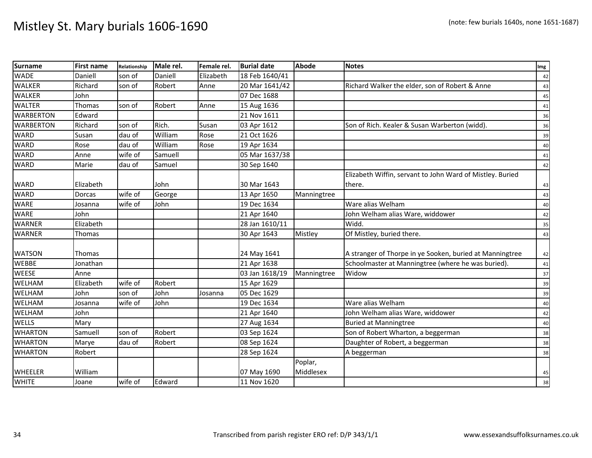| <b>Surname</b>   | <b>First name</b> | Relationship | Male rel. | Female rel. | <b>Burial date</b> | <b>Abode</b> | <b>Notes</b>                                              | Img |
|------------------|-------------------|--------------|-----------|-------------|--------------------|--------------|-----------------------------------------------------------|-----|
| <b>WADE</b>      | Daniell           | son of       | Daniell   | Elizabeth   | 18 Feb 1640/41     |              |                                                           | 42  |
| <b>WALKER</b>    | Richard           | son of       | Robert    | Anne        | 20 Mar 1641/42     |              | Richard Walker the elder, son of Robert & Anne            | 43  |
| <b>WALKER</b>    | John              |              |           |             | 07 Dec 1688        |              |                                                           | 45  |
| <b>WALTER</b>    | Thomas            | son of       | Robert    | Anne        | 15 Aug 1636        |              |                                                           | 41  |
| <b>WARBERTON</b> | Edward            |              |           |             | 21 Nov 1611        |              |                                                           | 36  |
| <b>WARBERTON</b> | Richard           | son of       | Rich.     | Susan       | 03 Apr 1612        |              | Son of Rich. Kealer & Susan Warberton (widd).             | 36  |
| <b>WARD</b>      | Susan             | dau of       | William   | Rose        | 21 Oct 1626        |              |                                                           | 39  |
| <b>WARD</b>      | Rose              | dau of       | William   | Rose        | 19 Apr 1634        |              |                                                           | 40  |
| <b>WARD</b>      | Anne              | wife of      | Samuell   |             | 05 Mar 1637/38     |              |                                                           | 41  |
| <b>WARD</b>      | Marie             | dau of       | Samuel    |             | 30 Sep 1640        |              |                                                           | 42  |
|                  |                   |              |           |             |                    |              | Elizabeth Wiffin, servant to John Ward of Mistley. Buried |     |
| <b>WARD</b>      | Elizabeth         |              | John      |             | 30 Mar 1643        |              | there.                                                    | 43  |
| <b>WARD</b>      | Dorcas            | wife of      | George    |             | 13 Apr 1650        | Manningtree  |                                                           | 43  |
| <b>WARE</b>      | Josanna           | wife of      | John      |             | 19 Dec 1634        |              | Ware alias Welham                                         | 40  |
| <b>WARE</b>      | John              |              |           |             | 21 Apr 1640        |              | John Welham alias Ware, widdower                          | 42  |
| <b>WARNER</b>    | Elizabeth         |              |           |             | 28 Jan 1610/11     |              | Widd.                                                     | 35  |
| <b>WARNER</b>    | Thomas            |              |           |             | 30 Apr 1643        | Mistley      | Of Mistley, buried there.                                 | 43  |
|                  |                   |              |           |             |                    |              |                                                           |     |
| <b>WATSON</b>    | Thomas            |              |           |             | 24 May 1641        |              | A stranger of Thorpe in ye Sooken, buried at Manningtree  | 42  |
| <b>WEBBE</b>     | Jonathan          |              |           |             | 21 Apr 1638        |              | Schoolmaster at Manningtree (where he was buried).        | 41  |
| <b>WEESE</b>     | Anne              |              |           |             | 03 Jan 1618/19     | Manningtree  | Widow                                                     | 37  |
| WELHAM           | Elizabeth         | wife of      | Robert    |             | 15 Apr 1629        |              |                                                           | 39  |
| WELHAM           | John              | son of       | John      | Josanna     | 05 Dec 1629        |              |                                                           | 39  |
| <b>WELHAM</b>    | Josanna           | wife of      | John      |             | 19 Dec 1634        |              | Ware alias Welham                                         | 40  |
| WELHAM           | John              |              |           |             | 21 Apr 1640        |              | John Welham alias Ware, widdower                          | 42  |
| <b>WELLS</b>     | Mary              |              |           |             | 27 Aug 1634        |              | <b>Buried at Manningtree</b>                              | 40  |
| <b>WHARTON</b>   | Samuell           | son of       | Robert    |             | 03 Sep 1624        |              | Son of Robert Wharton, a beggerman                        | 38  |
| <b>WHARTON</b>   | Marye             | dau of       | Robert    |             | 08 Sep 1624        |              | Daughter of Robert, a beggerman                           | 38  |
| <b>WHARTON</b>   | Robert            |              |           |             | 28 Sep 1624        |              | A beggerman                                               | 38  |
|                  |                   |              |           |             |                    | Poplar,      |                                                           |     |
| <b>WHEELER</b>   | William           |              |           |             | 07 May 1690        | Middlesex    |                                                           | 45  |
| <b>WHITE</b>     | Joane             | wife of      | Edward    |             | 11 Nov 1620        |              |                                                           | 38  |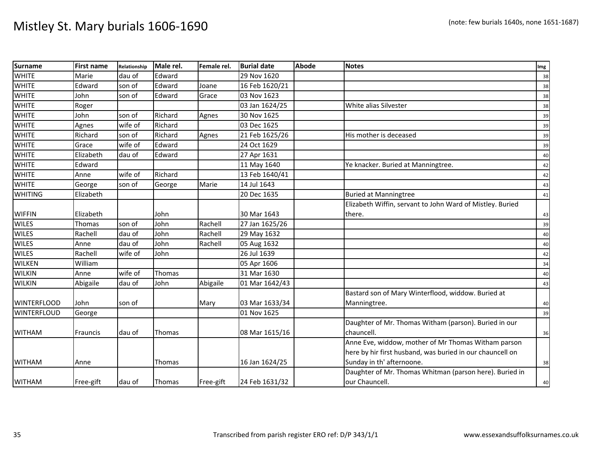| <b>Surname</b>     | <b>First name</b> | Relationship | Male rel.     | Female rel. | <b>Burial date</b> | <b>Abode</b> | <b>Notes</b>                                              | Img |
|--------------------|-------------------|--------------|---------------|-------------|--------------------|--------------|-----------------------------------------------------------|-----|
| <b>WHITE</b>       | Marie             | dau of       | Edward        |             | 29 Nov 1620        |              |                                                           | 38  |
| <b>WHITE</b>       | Edward            | son of       | Edward        | Joane       | 16 Feb 1620/21     |              |                                                           | 38  |
| <b>WHITE</b>       | John              | son of       | Edward        | Grace       | 03 Nov 1623        |              |                                                           | 38  |
| <b>WHITE</b>       | Roger             |              |               |             | 03 Jan 1624/25     |              | White alias Silvester                                     | 38  |
| <b>WHITE</b>       | John              | son of       | Richard       | Agnes       | 30 Nov 1625        |              |                                                           | 39  |
| <b>WHITE</b>       | Agnes             | wife of      | Richard       |             | 03 Dec 1625        |              |                                                           | 39  |
| <b>WHITE</b>       | Richard           | son of       | Richard       | Agnes       | 21 Feb 1625/26     |              | His mother is deceased                                    | 39  |
| <b>WHITE</b>       | Grace             | wife of      | Edward        |             | 24 Oct 1629        |              |                                                           | 39  |
| <b>WHITE</b>       | Elizabeth         | dau of       | Edward        |             | 27 Apr 1631        |              |                                                           | 40  |
| <b>WHITE</b>       | Edward            |              |               |             | 11 May 1640        |              | Ye knacker. Buried at Manningtree.                        | 42  |
| <b>WHITE</b>       | Anne              | wife of      | Richard       |             | 13 Feb 1640/41     |              |                                                           | 42  |
| <b>WHITE</b>       | George            | son of       | George        | Marie       | 14 Jul 1643        |              |                                                           | 43  |
| <b>WHITING</b>     | Elizabeth         |              |               |             | 20 Dec 1635        |              | <b>Buried at Manningtree</b>                              | 41  |
|                    |                   |              |               |             |                    |              | Elizabeth Wiffin, servant to John Ward of Mistley. Buried |     |
| <b>WIFFIN</b>      | Elizabeth         |              | John          |             | 30 Mar 1643        |              | there.                                                    | 43  |
| <b>WILES</b>       | Thomas            | son of       | John          | Rachell     | 27 Jan 1625/26     |              |                                                           | 39  |
| <b>WILES</b>       | Rachell           | dau of       | John          | Rachell     | 29 May 1632        |              |                                                           | 40  |
| <b>WILES</b>       | Anne              | dau of       | John          | Rachell     | 05 Aug 1632        |              |                                                           | 40  |
| <b>WILES</b>       | Rachell           | wife of      | John          |             | 26 Jul 1639        |              |                                                           | 42  |
| <b>WILKEN</b>      | William           |              |               |             | 05 Apr 1606        |              |                                                           | 34  |
| <b>WILKIN</b>      | Anne              | wife of      | Thomas        |             | 31 Mar 1630        |              |                                                           | 40  |
| <b>WILKIN</b>      | Abigaile          | dau of       | John          | Abigaile    | 01 Mar 1642/43     |              |                                                           | 43  |
|                    |                   |              |               |             |                    |              | Bastard son of Mary Winterflood, widdow. Buried at        |     |
| <b>WINTERFLOOD</b> | John              | son of       |               | Mary        | 03 Mar 1633/34     |              | Manningtree.                                              | 40  |
| <b>WINTERFLOUD</b> | George            |              |               |             | 01 Nov 1625        |              |                                                           | 39  |
|                    |                   |              |               |             |                    |              | Daughter of Mr. Thomas Witham (parson). Buried in our     |     |
| <b>WITHAM</b>      | Frauncis          | dau of       | Thomas        |             | 08 Mar 1615/16     |              | chauncell.                                                | 36  |
|                    |                   |              |               |             |                    |              | Anne Eve, widdow, mother of Mr Thomas Witham parson       |     |
|                    |                   |              |               |             |                    |              | here by hir first husband, was buried in our chauncell on |     |
| <b>WITHAM</b>      | Anne              |              | <b>Thomas</b> |             | 16 Jan 1624/25     |              | Sunday in th' afternoone.                                 | 38  |
|                    |                   |              |               |             |                    |              | Daughter of Mr. Thomas Whitman (parson here). Buried in   |     |
| <b>WITHAM</b>      | Free-gift         | dau of       | Thomas        | Free-gift   | 24 Feb 1631/32     |              | our Chauncell.                                            | 40  |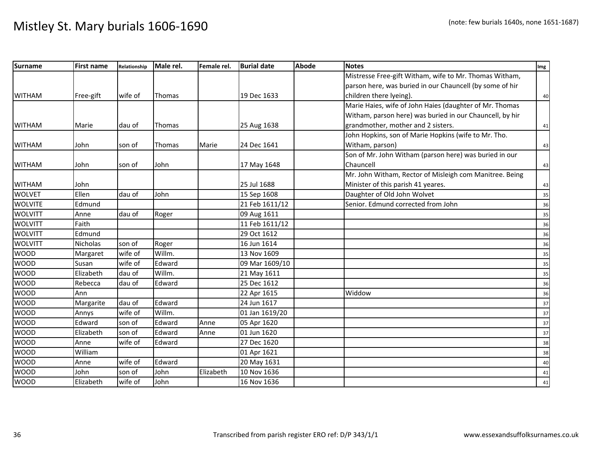| <b>Surname</b> | <b>First name</b> | Relationship | Male rel.     | Female rel. | <b>Burial date</b> | <b>Abode</b> | <b>Notes</b>                                             | Img |
|----------------|-------------------|--------------|---------------|-------------|--------------------|--------------|----------------------------------------------------------|-----|
|                |                   |              |               |             |                    |              | Mistresse Free-gift Witham, wife to Mr. Thomas Witham,   |     |
|                |                   |              |               |             |                    |              | parson here, was buried in our Chauncell (by some of hir |     |
| <b>WITHAM</b>  | Free-gift         | wife of      | Thomas        |             | 19 Dec 1633        |              | children there lyeing).                                  | 40  |
|                |                   |              |               |             |                    |              | Marie Haies, wife of John Haies (daughter of Mr. Thomas  |     |
|                |                   |              |               |             |                    |              | Witham, parson here) was buried in our Chauncell, by hir |     |
| <b>WITHAM</b>  | Marie             | dau of       | <b>Thomas</b> |             | 25 Aug 1638        |              | grandmother, mother and 2 sisters.                       | 41  |
|                |                   |              |               |             |                    |              | John Hopkins, son of Marie Hopkins (wife to Mr. Tho.     |     |
| <b>WITHAM</b>  | John              | son of       | <b>Thomas</b> | Marie       | 24 Dec 1641        |              | Witham, parson)                                          | 43  |
|                |                   |              |               |             |                    |              | Son of Mr. John Witham (parson here) was buried in our   |     |
| <b>WITHAM</b>  | John              | son of       | John          |             | 17 May 1648        |              | Chauncell                                                | 43  |
|                |                   |              |               |             |                    |              | Mr. John Witham, Rector of Misleigh com Manitree. Being  |     |
| <b>WITHAM</b>  | John              |              |               |             | 25 Jul 1688        |              | Minister of this parish 41 yeares.                       | 43  |
| <b>WOLVET</b>  | Ellen             | dau of       | John          |             | 15 Sep 1608        |              | Daughter of Old John Wolvet                              | 35  |
| <b>WOLVITE</b> | Edmund            |              |               |             | 21 Feb 1611/12     |              | Senior. Edmund corrected from John                       | 36  |
| <b>WOLVITT</b> | Anne              | dau of       | Roger         |             | 09 Aug 1611        |              |                                                          | 35  |
| <b>WOLVITT</b> | Faith             |              |               |             | 11 Feb 1611/12     |              |                                                          | 36  |
| <b>WOLVITT</b> | Edmund            |              |               |             | 29 Oct 1612        |              |                                                          | 36  |
| <b>WOLVITT</b> | Nicholas          | son of       | Roger         |             | 16 Jun 1614        |              |                                                          | 36  |
| <b>WOOD</b>    | Margaret          | wife of      | Willm.        |             | 13 Nov 1609        |              |                                                          | 35  |
| <b>WOOD</b>    | Susan             | wife of      | Edward        |             | 09 Mar 1609/10     |              |                                                          | 35  |
| <b>WOOD</b>    | Elizabeth         | dau of       | Willm.        |             | 21 May 1611        |              |                                                          | 35  |
| <b>WOOD</b>    | Rebecca           | dau of       | Edward        |             | 25 Dec 1612        |              |                                                          | 36  |
| <b>WOOD</b>    | Ann               |              |               |             | 22 Apr 1615        |              | Widdow                                                   | 36  |
| <b>WOOD</b>    | Margarite         | dau of       | Edward        |             | 24 Jun 1617        |              |                                                          | 37  |
| <b>WOOD</b>    | Annys             | wife of      | Willm.        |             | 01 Jan 1619/20     |              |                                                          | 37  |
| <b>WOOD</b>    | Edward            | son of       | Edward        | Anne        | 05 Apr 1620        |              |                                                          | 37  |
| <b>WOOD</b>    | Elizabeth         | son of       | Edward        | Anne        | 01 Jun 1620        |              |                                                          | 37  |
| <b>WOOD</b>    | Anne              | wife of      | Edward        |             | 27 Dec 1620        |              |                                                          | 38  |
| <b>WOOD</b>    | William           |              |               |             | 01 Apr 1621        |              |                                                          | 38  |
| <b>WOOD</b>    | Anne              | wife of      | Edward        |             | 20 May 1631        |              |                                                          | 40  |
| <b>WOOD</b>    | John              | son of       | John          | Elizabeth   | 10 Nov 1636        |              |                                                          | 41  |
| <b>WOOD</b>    | Elizabeth         | wife of      | John          |             | 16 Nov 1636        |              |                                                          | 41  |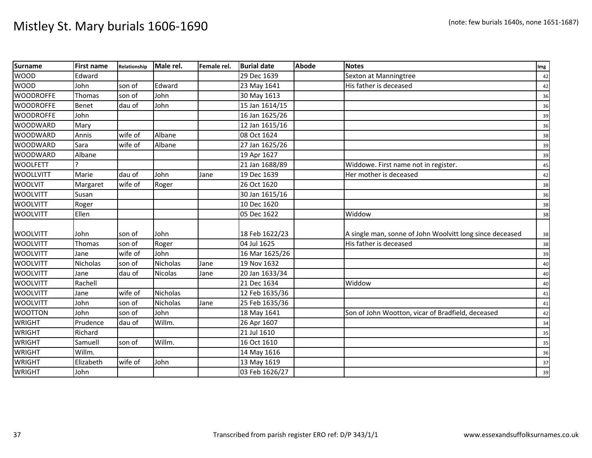| <b>Surname</b>   | <b>First name</b> | Relationship | Male rel.       | Female rel. | <b>Burial date</b> | Abode | <b>Notes</b>                                             | Img |
|------------------|-------------------|--------------|-----------------|-------------|--------------------|-------|----------------------------------------------------------|-----|
| <b>WOOD</b>      | Edward            |              |                 |             | 29 Dec 1639        |       | Sexton at Manningtree                                    | 42  |
| <b>WOOD</b>      | John              | son of       | Edward          |             | 23 May 1641        |       | His father is deceased                                   | 42  |
| <b>WOODROFFE</b> | Thomas            | son of       | John            |             | 30 May 1613        |       |                                                          | 36  |
| <b>WOODROFFE</b> | Benet             | dau of       | John            |             | 15 Jan 1614/15     |       |                                                          | 36  |
| <b>WOODROFFE</b> | John              |              |                 |             | 16 Jan 1625/26     |       |                                                          | 39  |
| <b>WOODWARD</b>  | Mary              |              |                 |             | 12 Jan 1615/16     |       |                                                          | 36  |
| <b>WOODWARD</b>  | Annis             | wife of      | Albane          |             | 08 Oct 1624        |       |                                                          | 38  |
| <b>WOODWARD</b>  | Sara              | wife of      | Albane          |             | 27 Jan 1625/26     |       |                                                          | 39  |
| <b>WOODWARD</b>  | Albane            |              |                 |             | 19 Apr 1627        |       |                                                          | 39  |
| <b>WOOLFETT</b>  |                   |              |                 |             | 21 Jan 1688/89     |       | Widdowe. First name not in register.                     | 45  |
| <b>WOOLLVITT</b> | Marie             | dau of       | John            | Jane        | 19 Dec 1639        |       | Her mother is deceased                                   | 42  |
| <b>WOOLVIT</b>   | Margaret          | wife of      | Roger           |             | 26 Oct 1620        |       |                                                          | 38  |
| <b>WOOLVITT</b>  | Susan             |              |                 |             | 30 Jan 1615/16     |       |                                                          | 36  |
| <b>WOOLVITT</b>  | Roger             |              |                 |             | 10 Dec 1620        |       |                                                          | 38  |
| <b>WOOLVITT</b>  | Ellen             |              |                 |             | 05 Dec 1622        |       | Widdow                                                   | 38  |
|                  |                   |              |                 |             |                    |       |                                                          |     |
| <b>WOOLVITT</b>  | John              | son of       | John            |             | 18 Feb 1622/23     |       | A single man, sonne of John Woolvitt long since deceased | 38  |
| <b>WOOLVITT</b>  | Thomas            | son of       | Roger           |             | 04 Jul 1625        |       | His father is deceased                                   | 38  |
| <b>WOOLVITT</b>  | Jane              | wife of      | John            |             | 16 Mar 1625/26     |       |                                                          | 39  |
| <b>WOOLVITT</b>  | Nicholas          | son of       | <b>Nicholas</b> | Jane        | 19 Nov 1632        |       |                                                          | 40  |
| <b>WOOLVITT</b>  | Jane              | dau of       | <b>Nicolas</b>  | Jane        | 20 Jan 1633/34     |       |                                                          | 40  |
| <b>WOOLVITT</b>  | Rachell           |              |                 |             | 21 Dec 1634        |       | Widdow                                                   | 40  |
| <b>WOOLVITT</b>  | Jane              | wife of      | <b>Nicholas</b> |             | 12 Feb 1635/36     |       |                                                          | 41  |
| <b>WOOLVITT</b>  | John              | son of       | <b>Nicholas</b> | Jane        | 25 Feb 1635/36     |       |                                                          | 41  |
| <b>WOOTTON</b>   | John              | son of       | John            |             | 18 May 1641        |       | Son of John Wootton, vicar of Bradfield, deceased        | 42  |
| <b>WRIGHT</b>    | Prudence          | dau of       | Willm.          |             | 26 Apr 1607        |       |                                                          | 34  |
| <b>WRIGHT</b>    | Richard           |              |                 |             | 21 Jul 1610        |       |                                                          | 35  |
| <b>WRIGHT</b>    | Samuell           | son of       | Willm.          |             | 16 Oct 1610        |       |                                                          | 35  |
| <b>WRIGHT</b>    | Willm.            |              |                 |             | 14 May 1616        |       |                                                          | 36  |
| <b>WRIGHT</b>    | Elizabeth         | wife of      | John            |             | 13 May 1619        |       |                                                          | 37  |
| <b>WRIGHT</b>    | John              |              |                 |             | 03 Feb 1626/27     |       |                                                          | 39  |